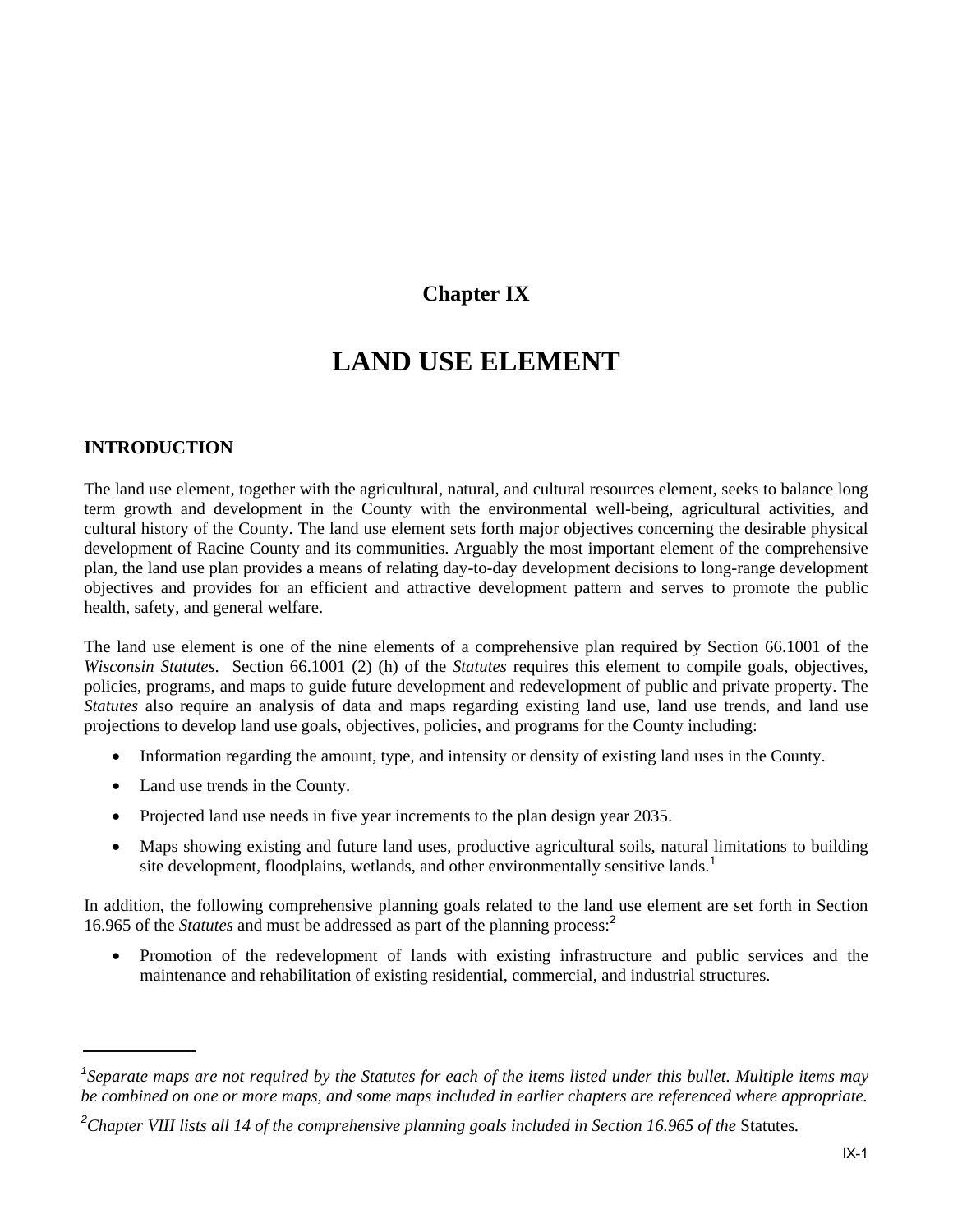# **Chapter IX**

# **LAND USE ELEMENT**

# **INTRODUCTION**

The land use element, together with the agricultural, natural, and cultural resources element, seeks to balance long term growth and development in the County with the environmental well-being, agricultural activities, and cultural history of the County. The land use element sets forth major objectives concerning the desirable physical development of Racine County and its communities. Arguably the most important element of the comprehensive plan, the land use plan provides a means of relating day-to-day development decisions to long-range development objectives and provides for an efficient and attractive development pattern and serves to promote the public health, safety, and general welfare.

The land use element is one of the nine elements of a comprehensive plan required by Section 66.1001 of the *Wisconsin Statutes*. Section 66.1001 (2) (h) of the *Statutes* requires this element to compile goals, objectives, policies, programs, and maps to guide future development and redevelopment of public and private property. The *Statutes* also require an analysis of data and maps regarding existing land use, land use trends, and land use projections to develop land use goals, objectives, policies, and programs for the County including:

- Information regarding the amount, type, and intensity or density of existing land uses in the County.
- Land use trends in the County.
- Projected land use needs in five year increments to the plan design year 2035.
- Maps showing existing and future land uses, productive agricultural soils, natural limitations to building site development, floodplains, wetlands, and other environmentally sensitive lands.<sup>1</sup>

In addition, the following comprehensive planning goals related to the land use element are set forth in Section 16.965 of the *Statutes* and must be addressed as part of the planning process:<sup>2</sup>

 Promotion of the redevelopment of lands with existing infrastructure and public services and the maintenance and rehabilitation of existing residential, commercial, and industrial structures.

<sup>&</sup>lt;sup>1</sup>Separate maps are not required by the Statutes for each of the items listed under this bullet. Multiple items may *be combined on one or more maps, and some maps included in earlier chapters are referenced where appropriate.* 

<sup>&</sup>lt;sup>2</sup>Chapter VIII lists all 14 of the comprehensive planning goals included in Section 16.965 of the Statutes.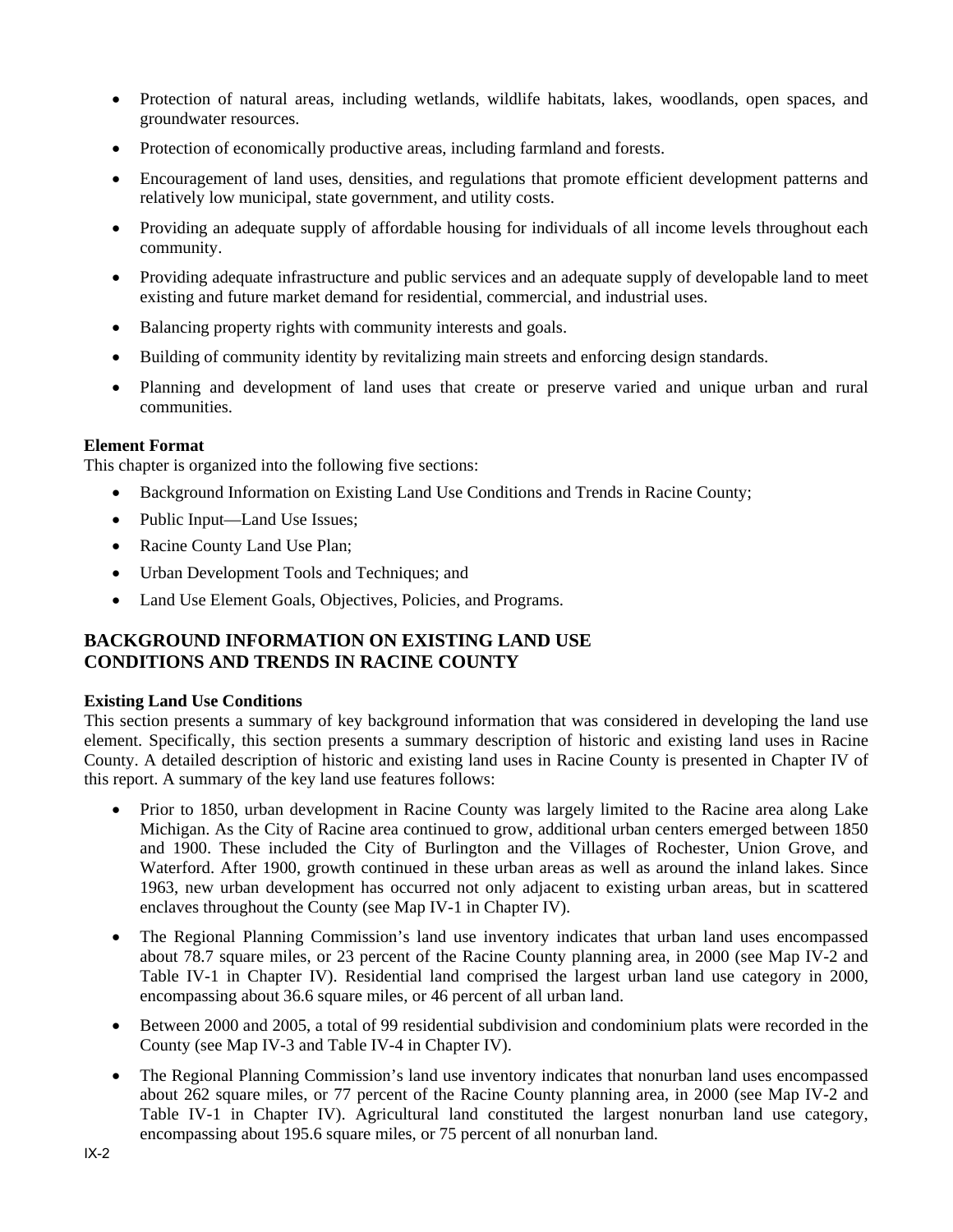- Protection of natural areas, including wetlands, wildlife habitats, lakes, woodlands, open spaces, and groundwater resources.
- Protection of economically productive areas, including farmland and forests.
- Encouragement of land uses, densities, and regulations that promote efficient development patterns and relatively low municipal, state government, and utility costs.
- Providing an adequate supply of affordable housing for individuals of all income levels throughout each community.
- Providing adequate infrastructure and public services and an adequate supply of developable land to meet existing and future market demand for residential, commercial, and industrial uses.
- Balancing property rights with community interests and goals.
- Building of community identity by revitalizing main streets and enforcing design standards.
- Planning and development of land uses that create or preserve varied and unique urban and rural communities.

### **Element Format**

This chapter is organized into the following five sections:

- Background Information on Existing Land Use Conditions and Trends in Racine County;
- Public Input—Land Use Issues;
- Racine County Land Use Plan;
- Urban Development Tools and Techniques; and
- Land Use Element Goals, Objectives, Policies, and Programs.

## **BACKGROUND INFORMATION ON EXISTING LAND USE CONDITIONS AND TRENDS IN RACINE COUNTY**

### **Existing Land Use Conditions**

This section presents a summary of key background information that was considered in developing the land use element. Specifically, this section presents a summary description of historic and existing land uses in Racine County. A detailed description of historic and existing land uses in Racine County is presented in Chapter IV of this report. A summary of the key land use features follows:

- Prior to 1850, urban development in Racine County was largely limited to the Racine area along Lake Michigan. As the City of Racine area continued to grow, additional urban centers emerged between 1850 and 1900. These included the City of Burlington and the Villages of Rochester, Union Grove, and Waterford. After 1900, growth continued in these urban areas as well as around the inland lakes. Since 1963, new urban development has occurred not only adjacent to existing urban areas, but in scattered enclaves throughout the County (see Map IV-1 in Chapter IV).
- The Regional Planning Commission's land use inventory indicates that urban land uses encompassed about 78.7 square miles, or 23 percent of the Racine County planning area, in 2000 (see Map IV-2 and Table IV-1 in Chapter IV). Residential land comprised the largest urban land use category in 2000, encompassing about 36.6 square miles, or 46 percent of all urban land.
- Between 2000 and 2005, a total of 99 residential subdivision and condominium plats were recorded in the County (see Map IV-3 and Table IV-4 in Chapter IV).
- The Regional Planning Commission's land use inventory indicates that nonurban land uses encompassed about 262 square miles, or 77 percent of the Racine County planning area, in 2000 (see Map IV-2 and Table IV-1 in Chapter IV). Agricultural land constituted the largest nonurban land use category, encompassing about 195.6 square miles, or 75 percent of all nonurban land.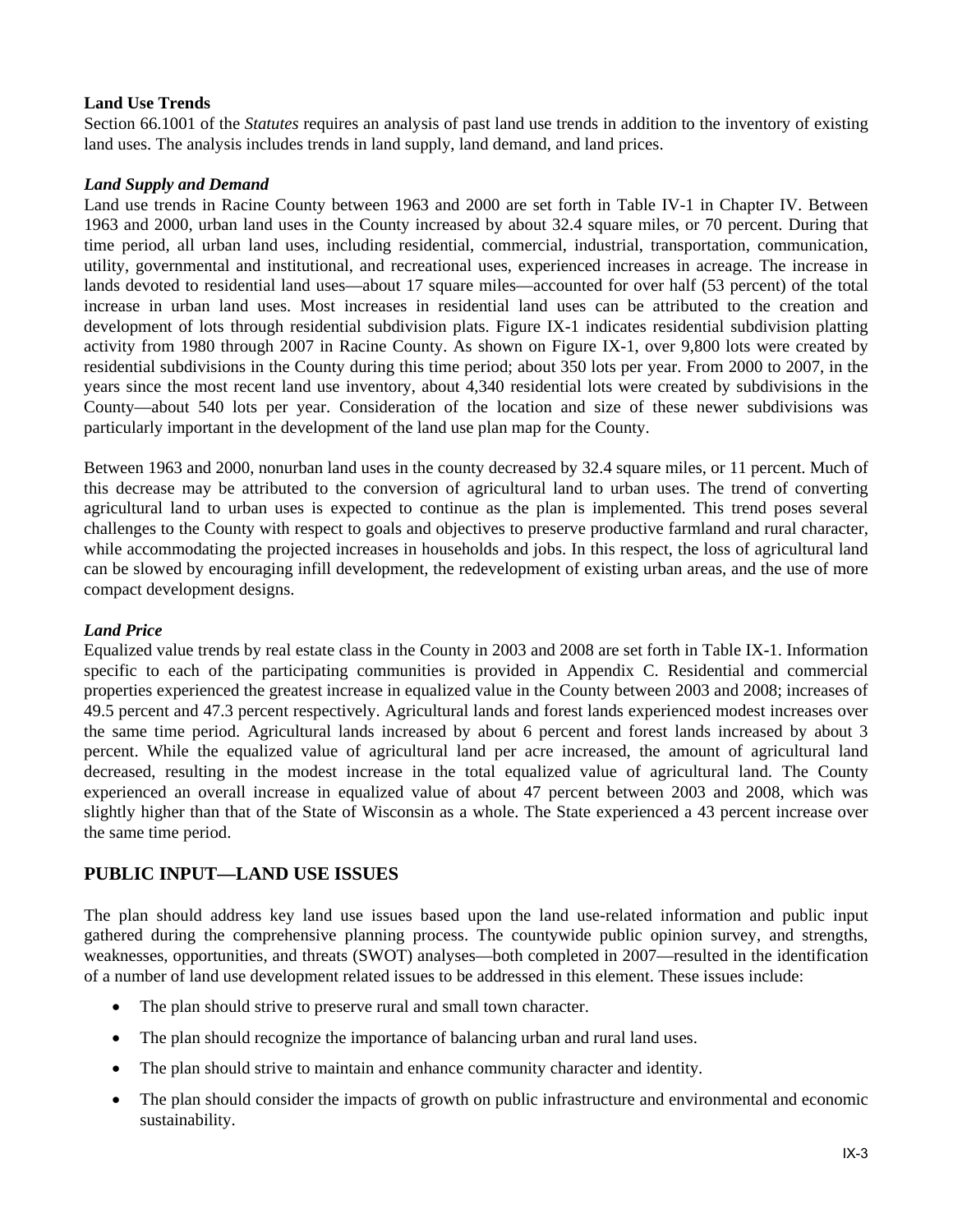### **Land Use Trends**

Section 66.1001 of the *Statutes* requires an analysis of past land use trends in addition to the inventory of existing land uses. The analysis includes trends in land supply, land demand, and land prices.

### *Land Supply and Demand*

Land use trends in Racine County between 1963 and 2000 are set forth in Table IV-1 in Chapter IV. Between 1963 and 2000, urban land uses in the County increased by about 32.4 square miles, or 70 percent. During that time period, all urban land uses, including residential, commercial, industrial, transportation, communication, utility, governmental and institutional, and recreational uses, experienced increases in acreage. The increase in lands devoted to residential land uses—about 17 square miles—accounted for over half (53 percent) of the total increase in urban land uses. Most increases in residential land uses can be attributed to the creation and development of lots through residential subdivision plats. Figure IX-1 indicates residential subdivision platting activity from 1980 through 2007 in Racine County. As shown on Figure IX-1, over 9,800 lots were created by residential subdivisions in the County during this time period; about 350 lots per year. From 2000 to 2007, in the years since the most recent land use inventory, about 4,340 residential lots were created by subdivisions in the County—about 540 lots per year. Consideration of the location and size of these newer subdivisions was particularly important in the development of the land use plan map for the County.

Between 1963 and 2000, nonurban land uses in the county decreased by 32.4 square miles, or 11 percent. Much of this decrease may be attributed to the conversion of agricultural land to urban uses. The trend of converting agricultural land to urban uses is expected to continue as the plan is implemented. This trend poses several challenges to the County with respect to goals and objectives to preserve productive farmland and rural character, while accommodating the projected increases in households and jobs. In this respect, the loss of agricultural land can be slowed by encouraging infill development, the redevelopment of existing urban areas, and the use of more compact development designs.

### *Land Price*

Equalized value trends by real estate class in the County in 2003 and 2008 are set forth in Table IX-1. Information specific to each of the participating communities is provided in Appendix C. Residential and commercial properties experienced the greatest increase in equalized value in the County between 2003 and 2008; increases of 49.5 percent and 47.3 percent respectively. Agricultural lands and forest lands experienced modest increases over the same time period. Agricultural lands increased by about 6 percent and forest lands increased by about 3 percent. While the equalized value of agricultural land per acre increased, the amount of agricultural land decreased, resulting in the modest increase in the total equalized value of agricultural land. The County experienced an overall increase in equalized value of about 47 percent between 2003 and 2008, which was slightly higher than that of the State of Wisconsin as a whole. The State experienced a 43 percent increase over the same time period.

## **PUBLIC INPUT—LAND USE ISSUES**

The plan should address key land use issues based upon the land use-related information and public input gathered during the comprehensive planning process. The countywide public opinion survey, and strengths, weaknesses, opportunities, and threats (SWOT) analyses—both completed in 2007—resulted in the identification of a number of land use development related issues to be addressed in this element. These issues include:

- The plan should strive to preserve rural and small town character.
- The plan should recognize the importance of balancing urban and rural land uses.
- The plan should strive to maintain and enhance community character and identity.
- The plan should consider the impacts of growth on public infrastructure and environmental and economic sustainability.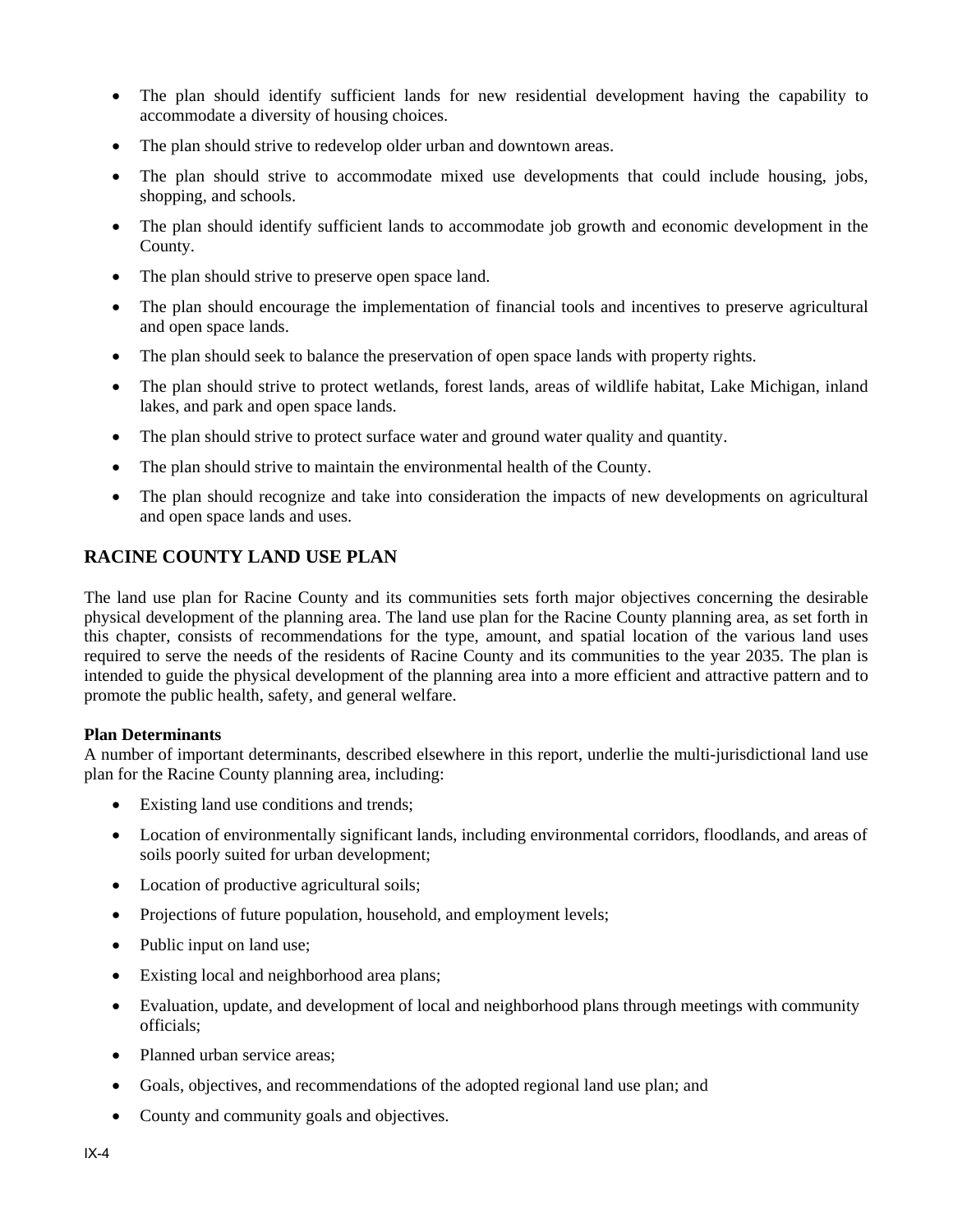- The plan should identify sufficient lands for new residential development having the capability to accommodate a diversity of housing choices.
- The plan should strive to redevelop older urban and downtown areas.
- The plan should strive to accommodate mixed use developments that could include housing, jobs, shopping, and schools.
- The plan should identify sufficient lands to accommodate job growth and economic development in the County.
- The plan should strive to preserve open space land.
- The plan should encourage the implementation of financial tools and incentives to preserve agricultural and open space lands.
- The plan should seek to balance the preservation of open space lands with property rights.
- The plan should strive to protect wetlands, forest lands, areas of wildlife habitat, Lake Michigan, inland lakes, and park and open space lands.
- The plan should strive to protect surface water and ground water quality and quantity.
- The plan should strive to maintain the environmental health of the County.
- The plan should recognize and take into consideration the impacts of new developments on agricultural and open space lands and uses.

# **RACINE COUNTY LAND USE PLAN**

The land use plan for Racine County and its communities sets forth major objectives concerning the desirable physical development of the planning area. The land use plan for the Racine County planning area, as set forth in this chapter, consists of recommendations for the type, amount, and spatial location of the various land uses required to serve the needs of the residents of Racine County and its communities to the year 2035. The plan is intended to guide the physical development of the planning area into a more efficient and attractive pattern and to promote the public health, safety, and general welfare.

### **Plan Determinants**

A number of important determinants, described elsewhere in this report, underlie the multi-jurisdictional land use plan for the Racine County planning area, including:

- Existing land use conditions and trends;
- Location of environmentally significant lands, including environmental corridors, floodlands, and areas of soils poorly suited for urban development;
- Location of productive agricultural soils;
- Projections of future population, household, and employment levels;
- Public input on land use;
- Existing local and neighborhood area plans;
- Evaluation, update, and development of local and neighborhood plans through meetings with community officials;
- Planned urban service areas;
- Goals, objectives, and recommendations of the adopted regional land use plan; and
- County and community goals and objectives.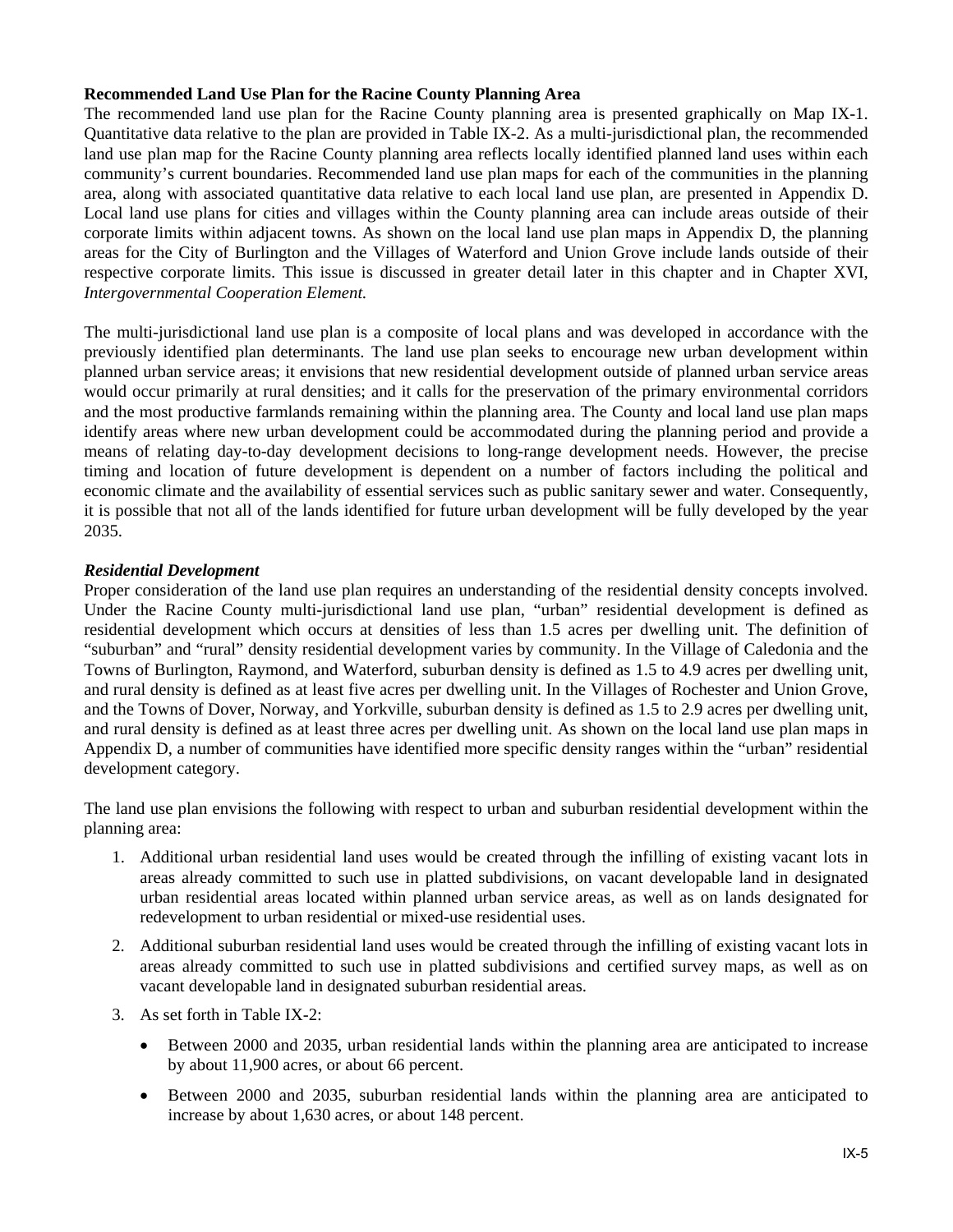### **Recommended Land Use Plan for the Racine County Planning Area**

The recommended land use plan for the Racine County planning area is presented graphically on Map IX-1. Quantitative data relative to the plan are provided in Table IX-2. As a multi-jurisdictional plan, the recommended land use plan map for the Racine County planning area reflects locally identified planned land uses within each community's current boundaries. Recommended land use plan maps for each of the communities in the planning area, along with associated quantitative data relative to each local land use plan, are presented in Appendix D. Local land use plans for cities and villages within the County planning area can include areas outside of their corporate limits within adjacent towns. As shown on the local land use plan maps in Appendix D, the planning areas for the City of Burlington and the Villages of Waterford and Union Grove include lands outside of their respective corporate limits. This issue is discussed in greater detail later in this chapter and in Chapter XVI, *Intergovernmental Cooperation Element.*

The multi-jurisdictional land use plan is a composite of local plans and was developed in accordance with the previously identified plan determinants. The land use plan seeks to encourage new urban development within planned urban service areas; it envisions that new residential development outside of planned urban service areas would occur primarily at rural densities; and it calls for the preservation of the primary environmental corridors and the most productive farmlands remaining within the planning area. The County and local land use plan maps identify areas where new urban development could be accommodated during the planning period and provide a means of relating day-to-day development decisions to long-range development needs. However, the precise timing and location of future development is dependent on a number of factors including the political and economic climate and the availability of essential services such as public sanitary sewer and water. Consequently, it is possible that not all of the lands identified for future urban development will be fully developed by the year 2035.

### *Residential Development*

Proper consideration of the land use plan requires an understanding of the residential density concepts involved. Under the Racine County multi-jurisdictional land use plan, "urban" residential development is defined as residential development which occurs at densities of less than 1.5 acres per dwelling unit. The definition of "suburban" and "rural" density residential development varies by community. In the Village of Caledonia and the Towns of Burlington, Raymond, and Waterford, suburban density is defined as 1.5 to 4.9 acres per dwelling unit, and rural density is defined as at least five acres per dwelling unit. In the Villages of Rochester and Union Grove, and the Towns of Dover, Norway, and Yorkville, suburban density is defined as 1.5 to 2.9 acres per dwelling unit, and rural density is defined as at least three acres per dwelling unit. As shown on the local land use plan maps in Appendix D, a number of communities have identified more specific density ranges within the "urban" residential development category.

The land use plan envisions the following with respect to urban and suburban residential development within the planning area:

- 1. Additional urban residential land uses would be created through the infilling of existing vacant lots in areas already committed to such use in platted subdivisions, on vacant developable land in designated urban residential areas located within planned urban service areas, as well as on lands designated for redevelopment to urban residential or mixed-use residential uses.
- 2. Additional suburban residential land uses would be created through the infilling of existing vacant lots in areas already committed to such use in platted subdivisions and certified survey maps, as well as on vacant developable land in designated suburban residential areas.
- 3. As set forth in Table IX-2:
	- Between 2000 and 2035, urban residential lands within the planning area are anticipated to increase by about 11,900 acres, or about 66 percent.
	- Between 2000 and 2035, suburban residential lands within the planning area are anticipated to increase by about 1,630 acres, or about 148 percent.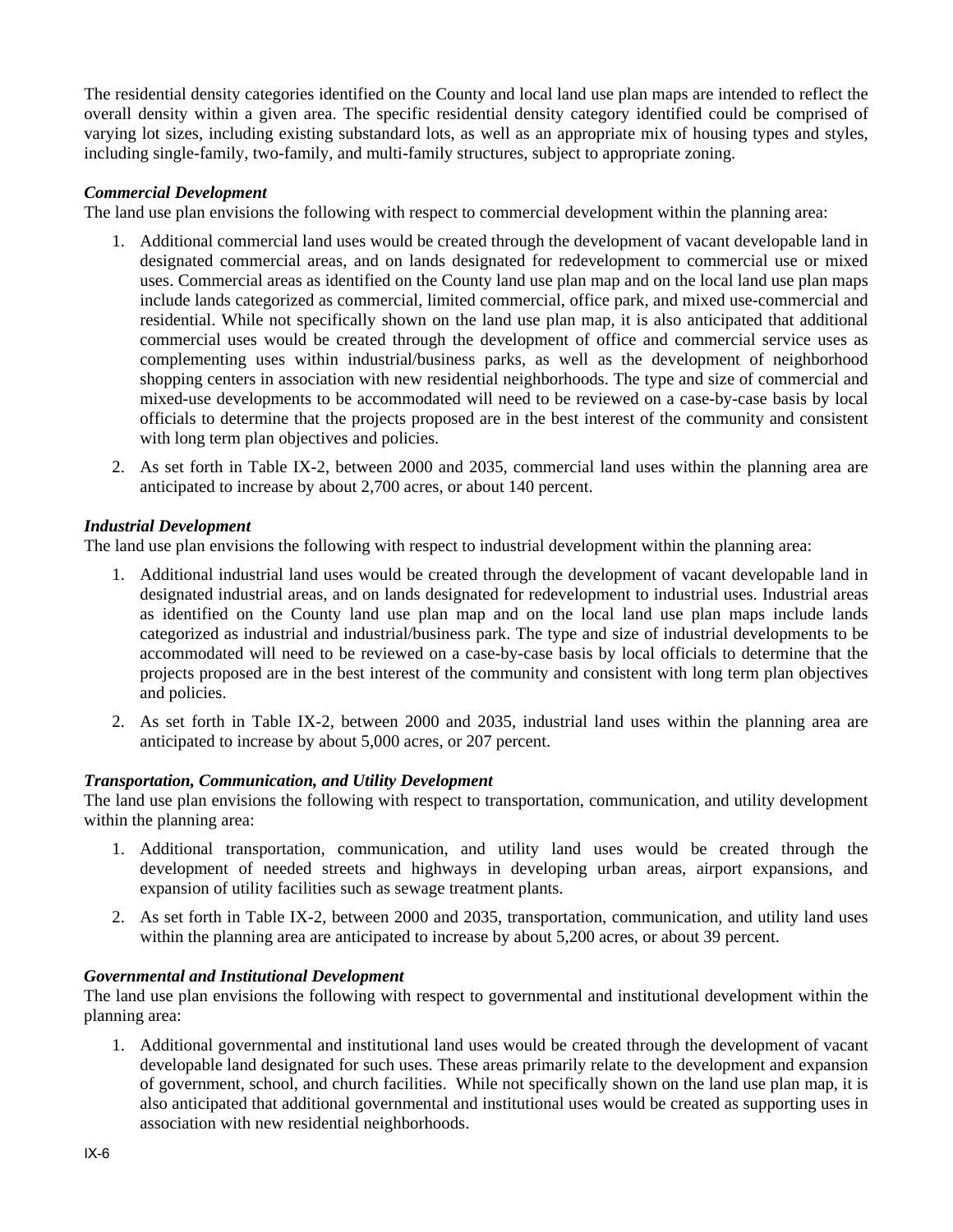The residential density categories identified on the County and local land use plan maps are intended to reflect the overall density within a given area. The specific residential density category identified could be comprised of varying lot sizes, including existing substandard lots, as well as an appropriate mix of housing types and styles, including single-family, two-family, and multi-family structures, subject to appropriate zoning.

### *Commercial Development*

The land use plan envisions the following with respect to commercial development within the planning area:

- 1. Additional commercial land uses would be created through the development of vacant developable land in designated commercial areas, and on lands designated for redevelopment to commercial use or mixed uses. Commercial areas as identified on the County land use plan map and on the local land use plan maps include lands categorized as commercial, limited commercial, office park, and mixed use-commercial and residential. While not specifically shown on the land use plan map, it is also anticipated that additional commercial uses would be created through the development of office and commercial service uses as complementing uses within industrial/business parks, as well as the development of neighborhood shopping centers in association with new residential neighborhoods. The type and size of commercial and mixed-use developments to be accommodated will need to be reviewed on a case-by-case basis by local officials to determine that the projects proposed are in the best interest of the community and consistent with long term plan objectives and policies.
- 2. As set forth in Table IX-2, between 2000 and 2035, commercial land uses within the planning area are anticipated to increase by about 2,700 acres, or about 140 percent.

### *Industrial Development*

The land use plan envisions the following with respect to industrial development within the planning area:

- 1. Additional industrial land uses would be created through the development of vacant developable land in designated industrial areas, and on lands designated for redevelopment to industrial uses. Industrial areas as identified on the County land use plan map and on the local land use plan maps include lands categorized as industrial and industrial/business park. The type and size of industrial developments to be accommodated will need to be reviewed on a case-by-case basis by local officials to determine that the projects proposed are in the best interest of the community and consistent with long term plan objectives and policies.
- 2. As set forth in Table IX-2, between 2000 and 2035, industrial land uses within the planning area are anticipated to increase by about 5,000 acres, or 207 percent.

### *Transportation, Communication, and Utility Development*

The land use plan envisions the following with respect to transportation, communication, and utility development within the planning area:

- 1. Additional transportation, communication, and utility land uses would be created through the development of needed streets and highways in developing urban areas, airport expansions, and expansion of utility facilities such as sewage treatment plants.
- 2. As set forth in Table IX-2, between 2000 and 2035, transportation, communication, and utility land uses within the planning area are anticipated to increase by about 5,200 acres, or about 39 percent.

### *Governmental and Institutional Development*

The land use plan envisions the following with respect to governmental and institutional development within the planning area:

1. Additional governmental and institutional land uses would be created through the development of vacant developable land designated for such uses. These areas primarily relate to the development and expansion of government, school, and church facilities. While not specifically shown on the land use plan map, it is also anticipated that additional governmental and institutional uses would be created as supporting uses in association with new residential neighborhoods.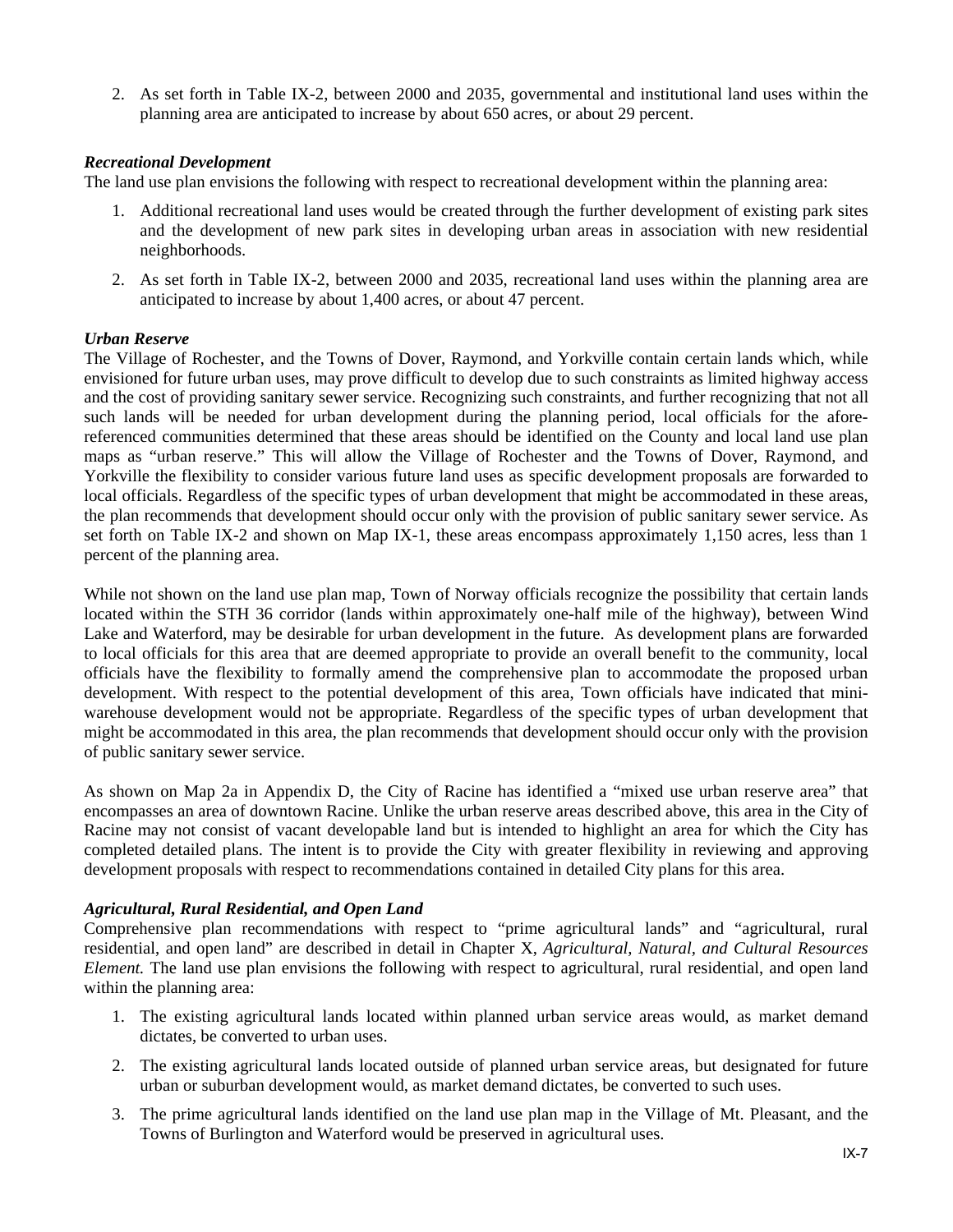2. As set forth in Table IX-2, between 2000 and 2035, governmental and institutional land uses within the planning area are anticipated to increase by about 650 acres, or about 29 percent.

### *Recreational Development*

The land use plan envisions the following with respect to recreational development within the planning area:

- 1. Additional recreational land uses would be created through the further development of existing park sites and the development of new park sites in developing urban areas in association with new residential neighborhoods.
- 2. As set forth in Table IX-2, between 2000 and 2035, recreational land uses within the planning area are anticipated to increase by about 1,400 acres, or about 47 percent.

### *Urban Reserve*

The Village of Rochester, and the Towns of Dover, Raymond, and Yorkville contain certain lands which, while envisioned for future urban uses, may prove difficult to develop due to such constraints as limited highway access and the cost of providing sanitary sewer service. Recognizing such constraints, and further recognizing that not all such lands will be needed for urban development during the planning period, local officials for the aforereferenced communities determined that these areas should be identified on the County and local land use plan maps as "urban reserve." This will allow the Village of Rochester and the Towns of Dover, Raymond, and Yorkville the flexibility to consider various future land uses as specific development proposals are forwarded to local officials. Regardless of the specific types of urban development that might be accommodated in these areas, the plan recommends that development should occur only with the provision of public sanitary sewer service. As set forth on Table IX-2 and shown on Map IX-1, these areas encompass approximately 1,150 acres, less than 1 percent of the planning area.

While not shown on the land use plan map, Town of Norway officials recognize the possibility that certain lands located within the STH 36 corridor (lands within approximately one-half mile of the highway), between Wind Lake and Waterford, may be desirable for urban development in the future. As development plans are forwarded to local officials for this area that are deemed appropriate to provide an overall benefit to the community, local officials have the flexibility to formally amend the comprehensive plan to accommodate the proposed urban development. With respect to the potential development of this area, Town officials have indicated that miniwarehouse development would not be appropriate. Regardless of the specific types of urban development that might be accommodated in this area, the plan recommends that development should occur only with the provision of public sanitary sewer service.

As shown on Map 2a in Appendix D, the City of Racine has identified a "mixed use urban reserve area" that encompasses an area of downtown Racine. Unlike the urban reserve areas described above, this area in the City of Racine may not consist of vacant developable land but is intended to highlight an area for which the City has completed detailed plans. The intent is to provide the City with greater flexibility in reviewing and approving development proposals with respect to recommendations contained in detailed City plans for this area.

### *Agricultural, Rural Residential, and Open Land*

Comprehensive plan recommendations with respect to "prime agricultural lands" and "agricultural, rural residential, and open land" are described in detail in Chapter X, *Agricultural, Natural, and Cultural Resources Element.* The land use plan envisions the following with respect to agricultural, rural residential, and open land within the planning area:

- 1. The existing agricultural lands located within planned urban service areas would, as market demand dictates, be converted to urban uses.
- 2. The existing agricultural lands located outside of planned urban service areas, but designated for future urban or suburban development would, as market demand dictates, be converted to such uses.
- 3. The prime agricultural lands identified on the land use plan map in the Village of Mt. Pleasant, and the Towns of Burlington and Waterford would be preserved in agricultural uses.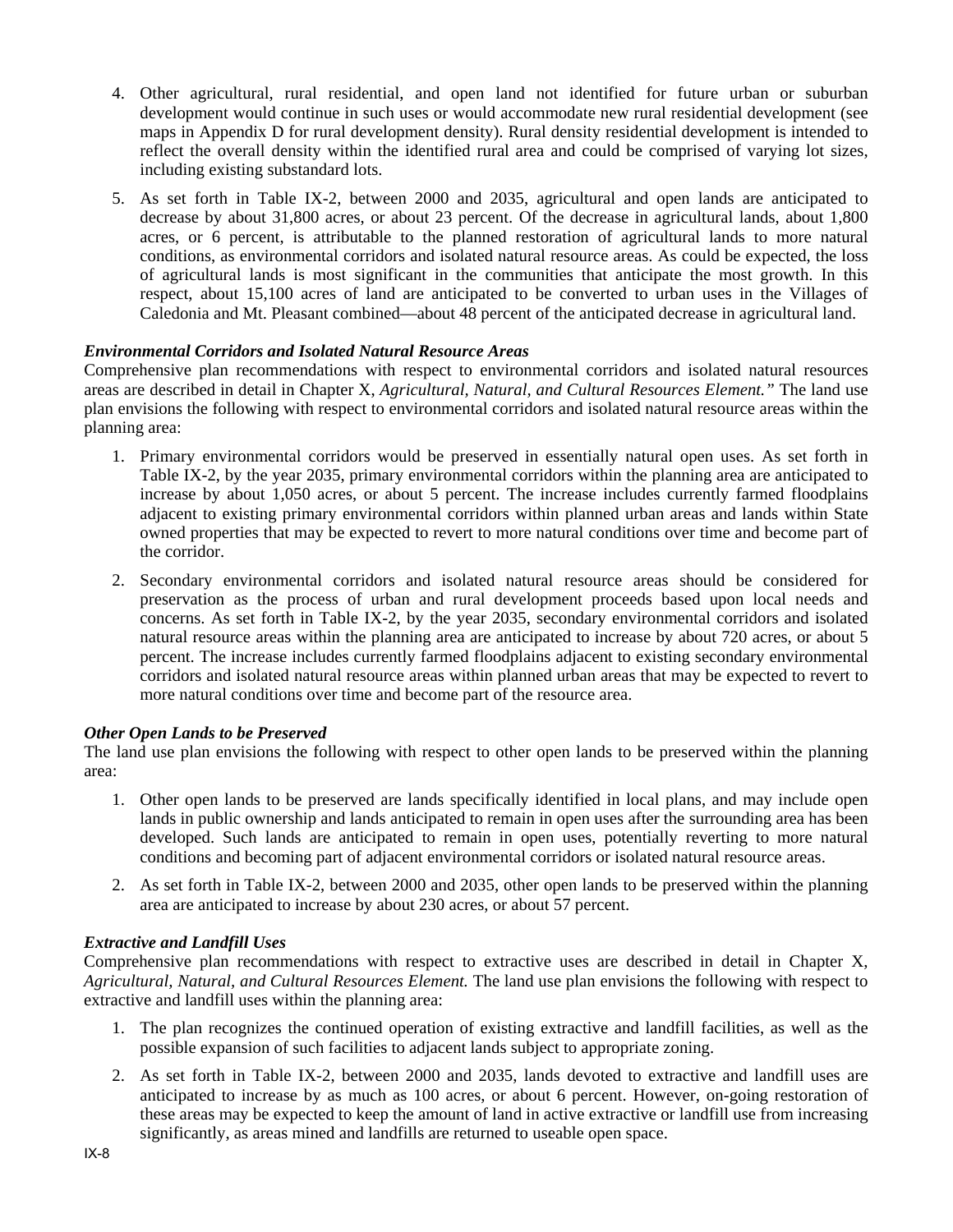- 4. Other agricultural, rural residential, and open land not identified for future urban or suburban development would continue in such uses or would accommodate new rural residential development (see maps in Appendix D for rural development density). Rural density residential development is intended to reflect the overall density within the identified rural area and could be comprised of varying lot sizes, including existing substandard lots.
- 5. As set forth in Table IX-2, between 2000 and 2035, agricultural and open lands are anticipated to decrease by about 31,800 acres, or about 23 percent. Of the decrease in agricultural lands, about 1,800 acres, or 6 percent, is attributable to the planned restoration of agricultural lands to more natural conditions, as environmental corridors and isolated natural resource areas. As could be expected, the loss of agricultural lands is most significant in the communities that anticipate the most growth. In this respect, about 15,100 acres of land are anticipated to be converted to urban uses in the Villages of Caledonia and Mt. Pleasant combined—about 48 percent of the anticipated decrease in agricultural land.

### *Environmental Corridors and Isolated Natural Resource Areas*

Comprehensive plan recommendations with respect to environmental corridors and isolated natural resources areas are described in detail in Chapter X, *Agricultural, Natural, and Cultural Resources Element."* The land use plan envisions the following with respect to environmental corridors and isolated natural resource areas within the planning area:

- 1. Primary environmental corridors would be preserved in essentially natural open uses. As set forth in Table IX-2, by the year 2035, primary environmental corridors within the planning area are anticipated to increase by about 1,050 acres, or about 5 percent. The increase includes currently farmed floodplains adjacent to existing primary environmental corridors within planned urban areas and lands within State owned properties that may be expected to revert to more natural conditions over time and become part of the corridor.
- 2. Secondary environmental corridors and isolated natural resource areas should be considered for preservation as the process of urban and rural development proceeds based upon local needs and concerns. As set forth in Table IX-2, by the year 2035, secondary environmental corridors and isolated natural resource areas within the planning area are anticipated to increase by about 720 acres, or about 5 percent. The increase includes currently farmed floodplains adjacent to existing secondary environmental corridors and isolated natural resource areas within planned urban areas that may be expected to revert to more natural conditions over time and become part of the resource area.

### *Other Open Lands to be Preserved*

The land use plan envisions the following with respect to other open lands to be preserved within the planning area:

- 1. Other open lands to be preserved are lands specifically identified in local plans, and may include open lands in public ownership and lands anticipated to remain in open uses after the surrounding area has been developed. Such lands are anticipated to remain in open uses, potentially reverting to more natural conditions and becoming part of adjacent environmental corridors or isolated natural resource areas.
- 2. As set forth in Table IX-2, between 2000 and 2035, other open lands to be preserved within the planning area are anticipated to increase by about 230 acres, or about 57 percent.

### *Extractive and Landfill Uses*

Comprehensive plan recommendations with respect to extractive uses are described in detail in Chapter X, *Agricultural, Natural, and Cultural Resources Element.* The land use plan envisions the following with respect to extractive and landfill uses within the planning area:

- 1. The plan recognizes the continued operation of existing extractive and landfill facilities, as well as the possible expansion of such facilities to adjacent lands subject to appropriate zoning.
- 2. As set forth in Table IX-2, between 2000 and 2035, lands devoted to extractive and landfill uses are anticipated to increase by as much as 100 acres, or about 6 percent. However, on-going restoration of these areas may be expected to keep the amount of land in active extractive or landfill use from increasing significantly, as areas mined and landfills are returned to useable open space.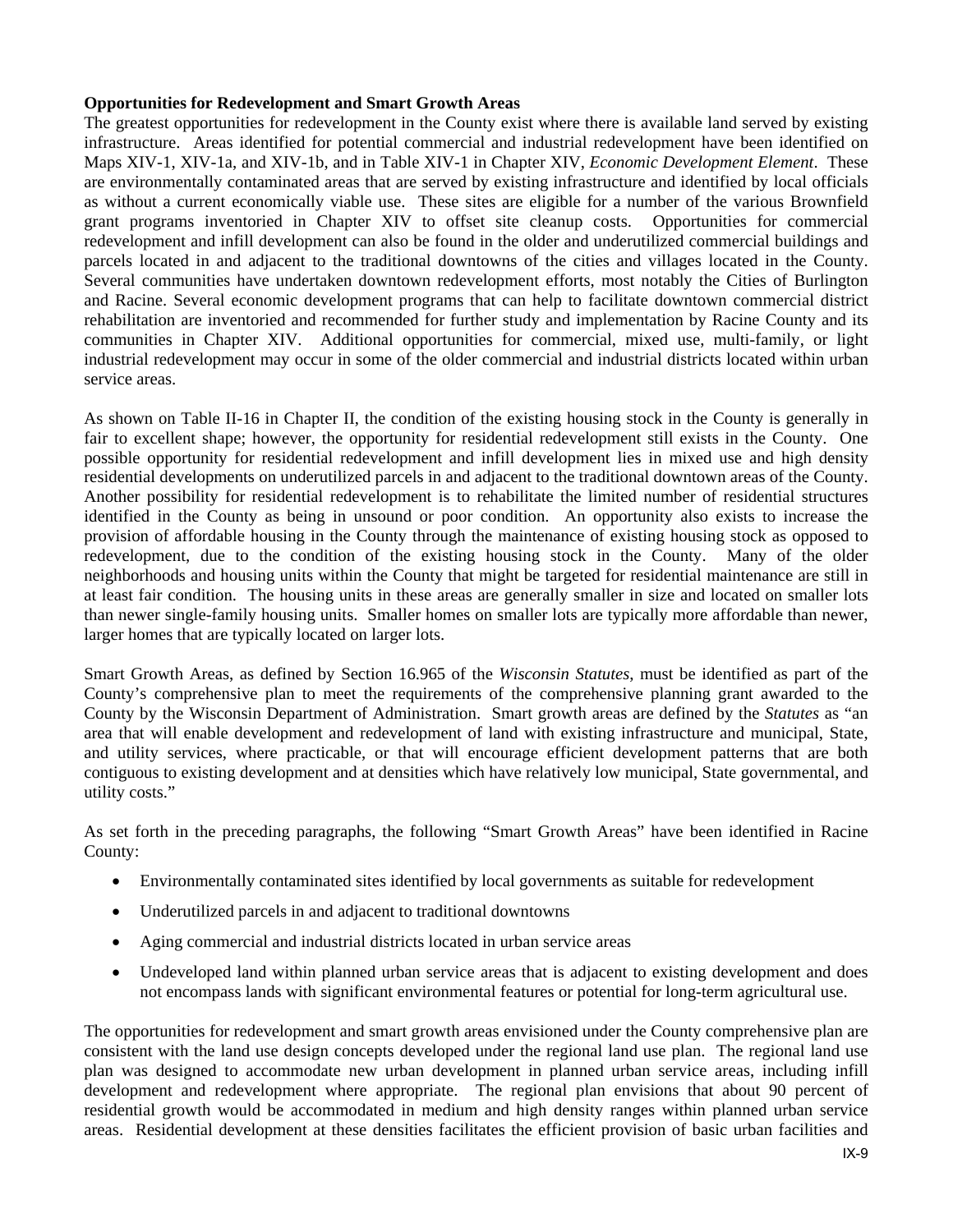### **Opportunities for Redevelopment and Smart Growth Areas**

The greatest opportunities for redevelopment in the County exist where there is available land served by existing infrastructure. Areas identified for potential commercial and industrial redevelopment have been identified on Maps XIV-1, XIV-1a, and XIV-1b, and in Table XIV-1 in Chapter XIV, *Economic Development Element*. These are environmentally contaminated areas that are served by existing infrastructure and identified by local officials as without a current economically viable use. These sites are eligible for a number of the various Brownfield grant programs inventoried in Chapter XIV to offset site cleanup costs. Opportunities for commercial redevelopment and infill development can also be found in the older and underutilized commercial buildings and parcels located in and adjacent to the traditional downtowns of the cities and villages located in the County. Several communities have undertaken downtown redevelopment efforts, most notably the Cities of Burlington and Racine. Several economic development programs that can help to facilitate downtown commercial district rehabilitation are inventoried and recommended for further study and implementation by Racine County and its communities in Chapter XIV. Additional opportunities for commercial, mixed use, multi-family, or light industrial redevelopment may occur in some of the older commercial and industrial districts located within urban service areas.

As shown on Table II-16 in Chapter II, the condition of the existing housing stock in the County is generally in fair to excellent shape; however, the opportunity for residential redevelopment still exists in the County. One possible opportunity for residential redevelopment and infill development lies in mixed use and high density residential developments on underutilized parcels in and adjacent to the traditional downtown areas of the County. Another possibility for residential redevelopment is to rehabilitate the limited number of residential structures identified in the County as being in unsound or poor condition. An opportunity also exists to increase the provision of affordable housing in the County through the maintenance of existing housing stock as opposed to redevelopment, due to the condition of the existing housing stock in the County. Many of the older neighborhoods and housing units within the County that might be targeted for residential maintenance are still in at least fair condition. The housing units in these areas are generally smaller in size and located on smaller lots than newer single-family housing units. Smaller homes on smaller lots are typically more affordable than newer, larger homes that are typically located on larger lots.

Smart Growth Areas, as defined by Section 16.965 of the *Wisconsin Statutes*, must be identified as part of the County's comprehensive plan to meet the requirements of the comprehensive planning grant awarded to the County by the Wisconsin Department of Administration. Smart growth areas are defined by the *Statutes* as "an area that will enable development and redevelopment of land with existing infrastructure and municipal, State, and utility services, where practicable, or that will encourage efficient development patterns that are both contiguous to existing development and at densities which have relatively low municipal, State governmental, and utility costs."

As set forth in the preceding paragraphs, the following "Smart Growth Areas" have been identified in Racine County:

- Environmentally contaminated sites identified by local governments as suitable for redevelopment
- Underutilized parcels in and adjacent to traditional downtowns
- Aging commercial and industrial districts located in urban service areas
- Undeveloped land within planned urban service areas that is adjacent to existing development and does not encompass lands with significant environmental features or potential for long-term agricultural use.

The opportunities for redevelopment and smart growth areas envisioned under the County comprehensive plan are consistent with the land use design concepts developed under the regional land use plan. The regional land use plan was designed to accommodate new urban development in planned urban service areas, including infill development and redevelopment where appropriate. The regional plan envisions that about 90 percent of residential growth would be accommodated in medium and high density ranges within planned urban service areas. Residential development at these densities facilitates the efficient provision of basic urban facilities and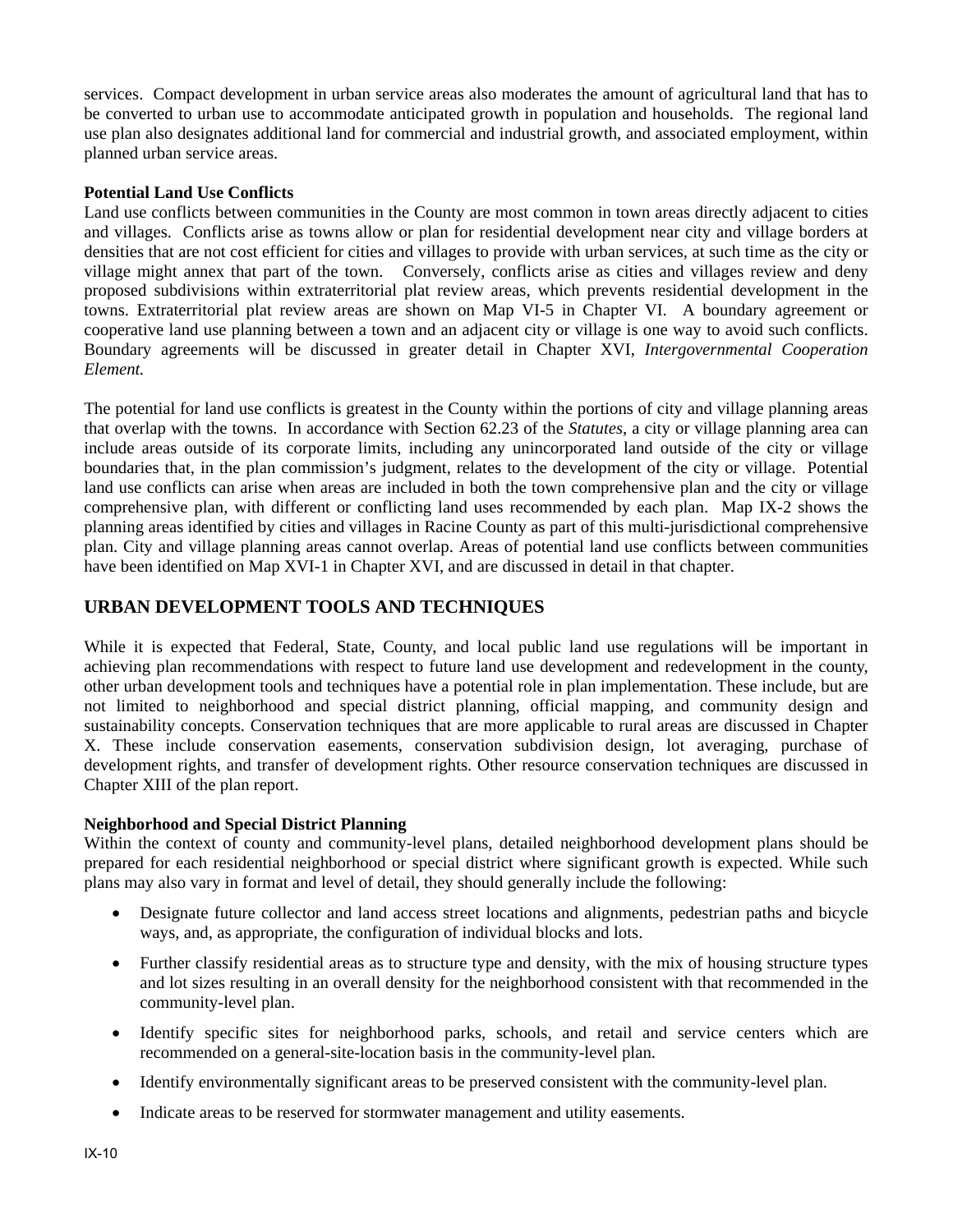services. Compact development in urban service areas also moderates the amount of agricultural land that has to be converted to urban use to accommodate anticipated growth in population and households. The regional land use plan also designates additional land for commercial and industrial growth, and associated employment, within planned urban service areas.

### **Potential Land Use Conflicts**

Land use conflicts between communities in the County are most common in town areas directly adjacent to cities and villages. Conflicts arise as towns allow or plan for residential development near city and village borders at densities that are not cost efficient for cities and villages to provide with urban services, at such time as the city or village might annex that part of the town. Conversely, conflicts arise as cities and villages review and deny proposed subdivisions within extraterritorial plat review areas, which prevents residential development in the towns. Extraterritorial plat review areas are shown on Map VI-5 in Chapter VI. A boundary agreement or cooperative land use planning between a town and an adjacent city or village is one way to avoid such conflicts. Boundary agreements will be discussed in greater detail in Chapter XVI, *Intergovernmental Cooperation Element.*

The potential for land use conflicts is greatest in the County within the portions of city and village planning areas that overlap with the towns. In accordance with Section 62.23 of the *Statutes*, a city or village planning area can include areas outside of its corporate limits, including any unincorporated land outside of the city or village boundaries that, in the plan commission's judgment, relates to the development of the city or village. Potential land use conflicts can arise when areas are included in both the town comprehensive plan and the city or village comprehensive plan, with different or conflicting land uses recommended by each plan. Map IX-2 shows the planning areas identified by cities and villages in Racine County as part of this multi-jurisdictional comprehensive plan. City and village planning areas cannot overlap. Areas of potential land use conflicts between communities have been identified on Map XVI-1 in Chapter XVI, and are discussed in detail in that chapter.

# **URBAN DEVELOPMENT TOOLS AND TECHNIQUES**

While it is expected that Federal, State, County, and local public land use regulations will be important in achieving plan recommendations with respect to future land use development and redevelopment in the county, other urban development tools and techniques have a potential role in plan implementation. These include, but are not limited to neighborhood and special district planning, official mapping, and community design and sustainability concepts. Conservation techniques that are more applicable to rural areas are discussed in Chapter X. These include conservation easements, conservation subdivision design, lot averaging, purchase of development rights, and transfer of development rights. Other resource conservation techniques are discussed in Chapter XIII of the plan report.

### **Neighborhood and Special District Planning**

Within the context of county and community-level plans, detailed neighborhood development plans should be prepared for each residential neighborhood or special district where significant growth is expected. While such plans may also vary in format and level of detail, they should generally include the following:

- Designate future collector and land access street locations and alignments, pedestrian paths and bicycle ways, and, as appropriate, the configuration of individual blocks and lots.
- Further classify residential areas as to structure type and density, with the mix of housing structure types and lot sizes resulting in an overall density for the neighborhood consistent with that recommended in the community-level plan.
- Identify specific sites for neighborhood parks, schools, and retail and service centers which are recommended on a general-site-location basis in the community-level plan.
- Identify environmentally significant areas to be preserved consistent with the community-level plan.
- Indicate areas to be reserved for stormwater management and utility easements.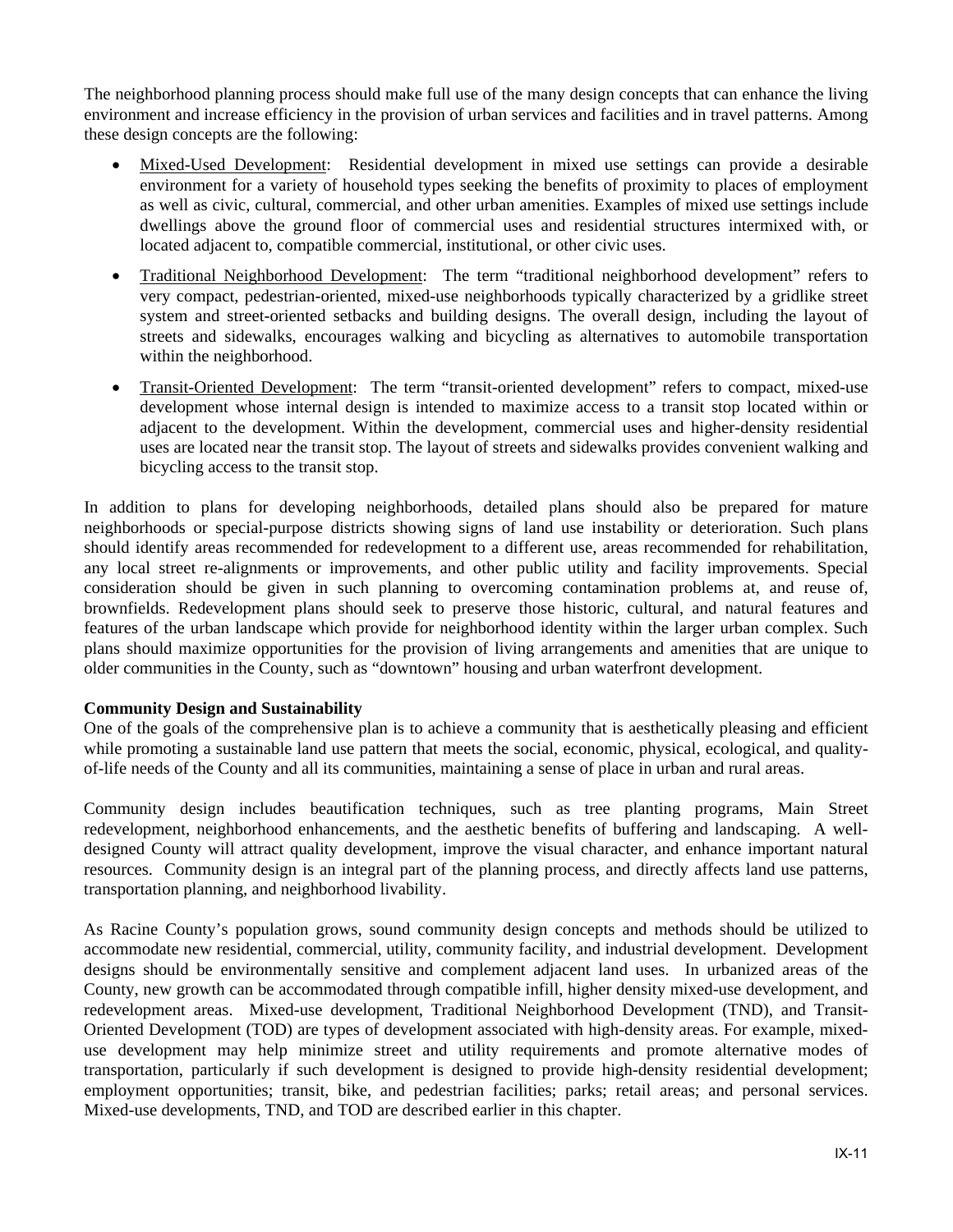The neighborhood planning process should make full use of the many design concepts that can enhance the living environment and increase efficiency in the provision of urban services and facilities and in travel patterns. Among these design concepts are the following:

- Mixed-Used Development: Residential development in mixed use settings can provide a desirable environment for a variety of household types seeking the benefits of proximity to places of employment as well as civic, cultural, commercial, and other urban amenities. Examples of mixed use settings include dwellings above the ground floor of commercial uses and residential structures intermixed with, or located adjacent to, compatible commercial, institutional, or other civic uses.
- Traditional Neighborhood Development: The term "traditional neighborhood development" refers to very compact, pedestrian-oriented, mixed-use neighborhoods typically characterized by a gridlike street system and street-oriented setbacks and building designs. The overall design, including the layout of streets and sidewalks, encourages walking and bicycling as alternatives to automobile transportation within the neighborhood.
- Transit-Oriented Development: The term "transit-oriented development" refers to compact, mixed-use development whose internal design is intended to maximize access to a transit stop located within or adjacent to the development. Within the development, commercial uses and higher-density residential uses are located near the transit stop. The layout of streets and sidewalks provides convenient walking and bicycling access to the transit stop.

In addition to plans for developing neighborhoods, detailed plans should also be prepared for mature neighborhoods or special-purpose districts showing signs of land use instability or deterioration. Such plans should identify areas recommended for redevelopment to a different use, areas recommended for rehabilitation, any local street re-alignments or improvements, and other public utility and facility improvements. Special consideration should be given in such planning to overcoming contamination problems at, and reuse of, brownfields. Redevelopment plans should seek to preserve those historic, cultural, and natural features and features of the urban landscape which provide for neighborhood identity within the larger urban complex. Such plans should maximize opportunities for the provision of living arrangements and amenities that are unique to older communities in the County, such as "downtown" housing and urban waterfront development.

### **Community Design and Sustainability**

One of the goals of the comprehensive plan is to achieve a community that is aesthetically pleasing and efficient while promoting a sustainable land use pattern that meets the social, economic, physical, ecological, and qualityof-life needs of the County and all its communities, maintaining a sense of place in urban and rural areas.

Community design includes beautification techniques, such as tree planting programs, Main Street redevelopment, neighborhood enhancements, and the aesthetic benefits of buffering and landscaping. A welldesigned County will attract quality development, improve the visual character, and enhance important natural resources. Community design is an integral part of the planning process, and directly affects land use patterns, transportation planning, and neighborhood livability.

As Racine County's population grows, sound community design concepts and methods should be utilized to accommodate new residential, commercial, utility, community facility, and industrial development. Development designs should be environmentally sensitive and complement adjacent land uses. In urbanized areas of the County, new growth can be accommodated through compatible infill, higher density mixed-use development, and redevelopment areas. Mixed-use development, Traditional Neighborhood Development (TND), and Transit-Oriented Development (TOD) are types of development associated with high-density areas. For example, mixeduse development may help minimize street and utility requirements and promote alternative modes of transportation, particularly if such development is designed to provide high-density residential development; employment opportunities; transit, bike, and pedestrian facilities; parks; retail areas; and personal services. Mixed-use developments, TND, and TOD are described earlier in this chapter.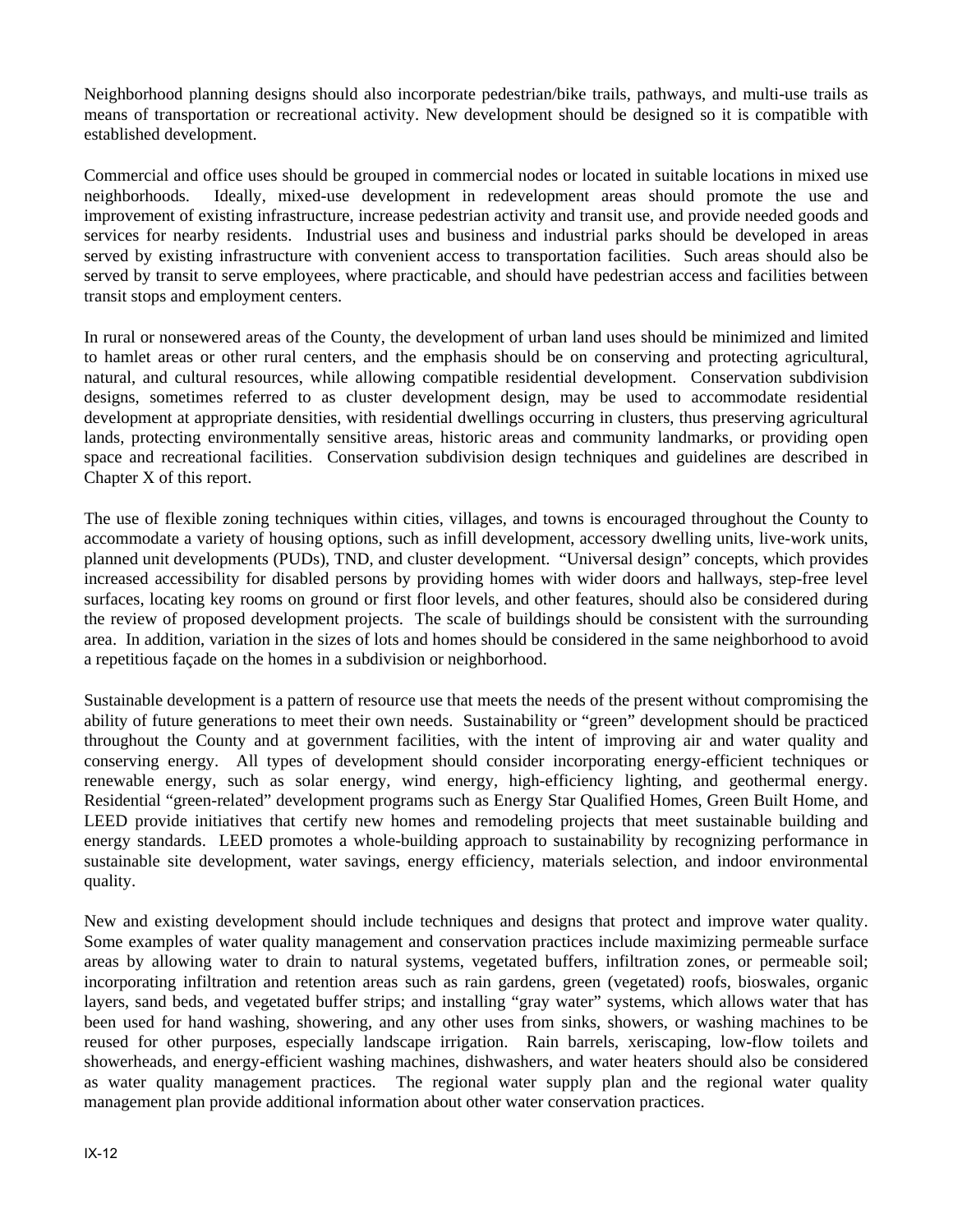Neighborhood planning designs should also incorporate pedestrian/bike trails, pathways, and multi-use trails as means of transportation or recreational activity. New development should be designed so it is compatible with established development.

Commercial and office uses should be grouped in commercial nodes or located in suitable locations in mixed use neighborhoods. Ideally, mixed-use development in redevelopment areas should promote the use and improvement of existing infrastructure, increase pedestrian activity and transit use, and provide needed goods and services for nearby residents. Industrial uses and business and industrial parks should be developed in areas served by existing infrastructure with convenient access to transportation facilities. Such areas should also be served by transit to serve employees, where practicable, and should have pedestrian access and facilities between transit stops and employment centers.

In rural or nonsewered areas of the County, the development of urban land uses should be minimized and limited to hamlet areas or other rural centers, and the emphasis should be on conserving and protecting agricultural, natural, and cultural resources, while allowing compatible residential development. Conservation subdivision designs, sometimes referred to as cluster development design, may be used to accommodate residential development at appropriate densities, with residential dwellings occurring in clusters, thus preserving agricultural lands, protecting environmentally sensitive areas, historic areas and community landmarks, or providing open space and recreational facilities. Conservation subdivision design techniques and guidelines are described in Chapter X of this report.

The use of flexible zoning techniques within cities, villages, and towns is encouraged throughout the County to accommodate a variety of housing options, such as infill development, accessory dwelling units, live-work units, planned unit developments (PUDs), TND, and cluster development. "Universal design" concepts, which provides increased accessibility for disabled persons by providing homes with wider doors and hallways, step-free level surfaces, locating key rooms on ground or first floor levels, and other features, should also be considered during the review of proposed development projects. The scale of buildings should be consistent with the surrounding area. In addition, variation in the sizes of lots and homes should be considered in the same neighborhood to avoid a repetitious façade on the homes in a subdivision or neighborhood.

Sustainable development is a pattern of resource use that meets the needs of the present without compromising the ability of future generations to meet their own needs. Sustainability or "green" development should be practiced throughout the County and at government facilities, with the intent of improving air and water quality and conserving energy. All types of development should consider incorporating energy-efficient techniques or renewable energy, such as solar energy, wind energy, high-efficiency lighting, and geothermal energy. Residential "green-related" development programs such as Energy Star Qualified Homes, Green Built Home, and LEED provide initiatives that certify new homes and remodeling projects that meet sustainable building and energy standards. LEED promotes a whole-building approach to sustainability by recognizing performance in sustainable site development, water savings, energy efficiency, materials selection, and indoor environmental quality.

New and existing development should include techniques and designs that protect and improve water quality. Some examples of water quality management and conservation practices include maximizing permeable surface areas by allowing water to drain to natural systems, vegetated buffers, infiltration zones, or permeable soil; incorporating infiltration and retention areas such as rain gardens, green (vegetated) roofs, bioswales, organic layers, sand beds, and vegetated buffer strips; and installing "gray water" systems, which allows water that has been used for hand washing, showering, and any other uses from sinks, showers, or washing machines to be reused for other purposes, especially landscape irrigation. Rain barrels, xeriscaping, low-flow toilets and showerheads, and energy-efficient washing machines, dishwashers, and water heaters should also be considered as water quality management practices. The regional water supply plan and the regional water quality management plan provide additional information about other water conservation practices.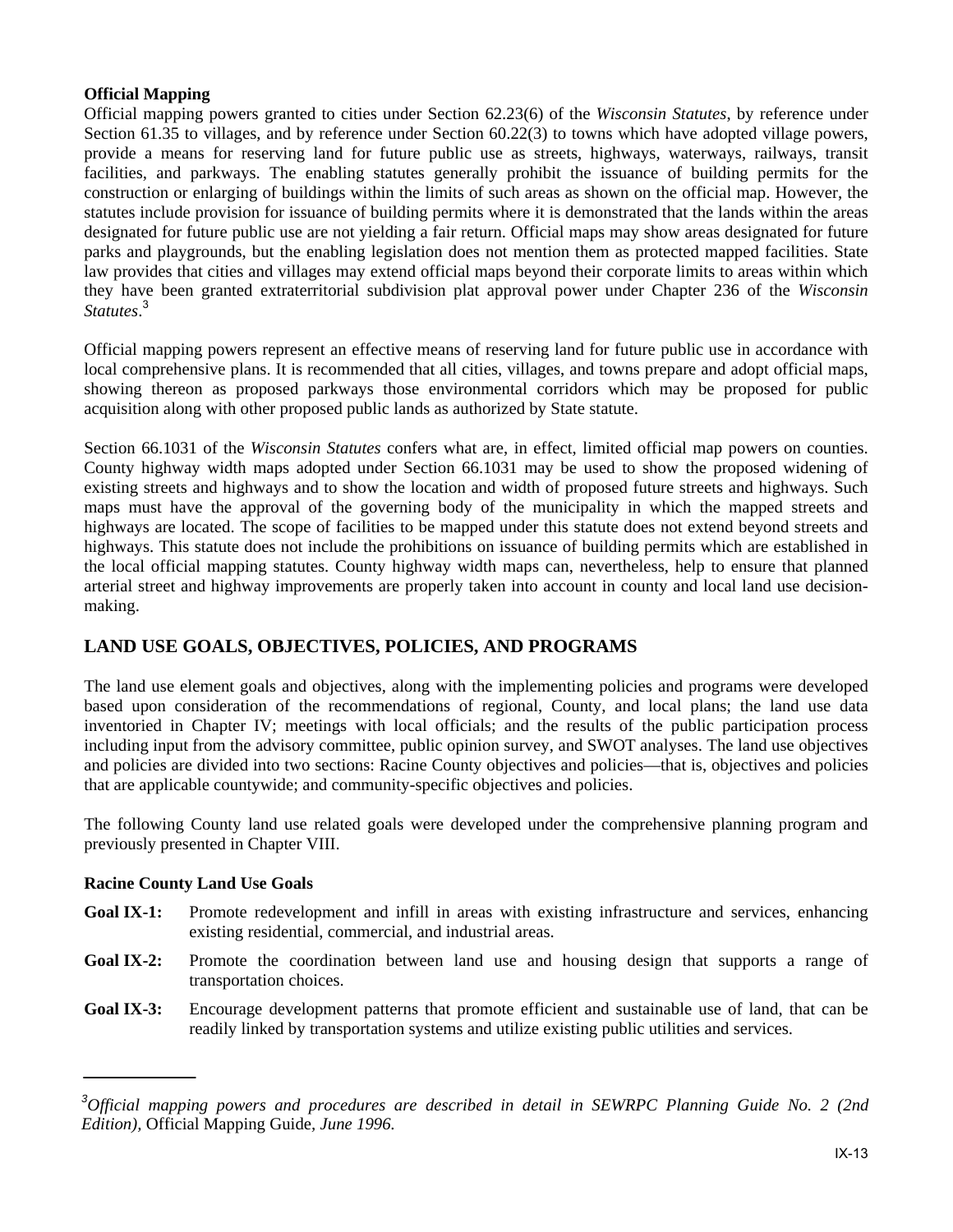### **Official Mapping**

Official mapping powers granted to cities under Section 62.23(6) of the *Wisconsin Statutes*, by reference under Section 61.35 to villages, and by reference under Section 60.22(3) to towns which have adopted village powers, provide a means for reserving land for future public use as streets, highways, waterways, railways, transit facilities, and parkways. The enabling statutes generally prohibit the issuance of building permits for the construction or enlarging of buildings within the limits of such areas as shown on the official map. However, the statutes include provision for issuance of building permits where it is demonstrated that the lands within the areas designated for future public use are not yielding a fair return. Official maps may show areas designated for future parks and playgrounds, but the enabling legislation does not mention them as protected mapped facilities. State law provides that cities and villages may extend official maps beyond their corporate limits to areas within which they have been granted extraterritorial subdivision plat approval power under Chapter 236 of the *Wisconsin Statutes*. 3

Official mapping powers represent an effective means of reserving land for future public use in accordance with local comprehensive plans. It is recommended that all cities, villages, and towns prepare and adopt official maps, showing thereon as proposed parkways those environmental corridors which may be proposed for public acquisition along with other proposed public lands as authorized by State statute.

Section 66.1031 of the *Wisconsin Statutes* confers what are, in effect, limited official map powers on counties. County highway width maps adopted under Section 66.1031 may be used to show the proposed widening of existing streets and highways and to show the location and width of proposed future streets and highways. Such maps must have the approval of the governing body of the municipality in which the mapped streets and highways are located. The scope of facilities to be mapped under this statute does not extend beyond streets and highways. This statute does not include the prohibitions on issuance of building permits which are established in the local official mapping statutes. County highway width maps can, nevertheless, help to ensure that planned arterial street and highway improvements are properly taken into account in county and local land use decisionmaking.

# **LAND USE GOALS, OBJECTIVES, POLICIES, AND PROGRAMS**

The land use element goals and objectives, along with the implementing policies and programs were developed based upon consideration of the recommendations of regional, County, and local plans; the land use data inventoried in Chapter IV; meetings with local officials; and the results of the public participation process including input from the advisory committee, public opinion survey, and SWOT analyses. The land use objectives and policies are divided into two sections: Racine County objectives and policies—that is, objectives and policies that are applicable countywide; and community-specific objectives and policies.

The following County land use related goals were developed under the comprehensive planning program and previously presented in Chapter VIII.

## **Racine County Land Use Goals**

- **Goal IX-1:** Promote redevelopment and infill in areas with existing infrastructure and services, enhancing existing residential, commercial, and industrial areas.
- Goal IX-2: Promote the coordination between land use and housing design that supports a range of transportation choices.
- **Goal IX-3:** Encourage development patterns that promote efficient and sustainable use of land, that can be readily linked by transportation systems and utilize existing public utilities and services.

*<sup>3</sup> Official mapping powers and procedures are described in detail in SEWRPC Planning Guide No. 2 (2nd Edition),* Official Mapping Guide*, June 1996.*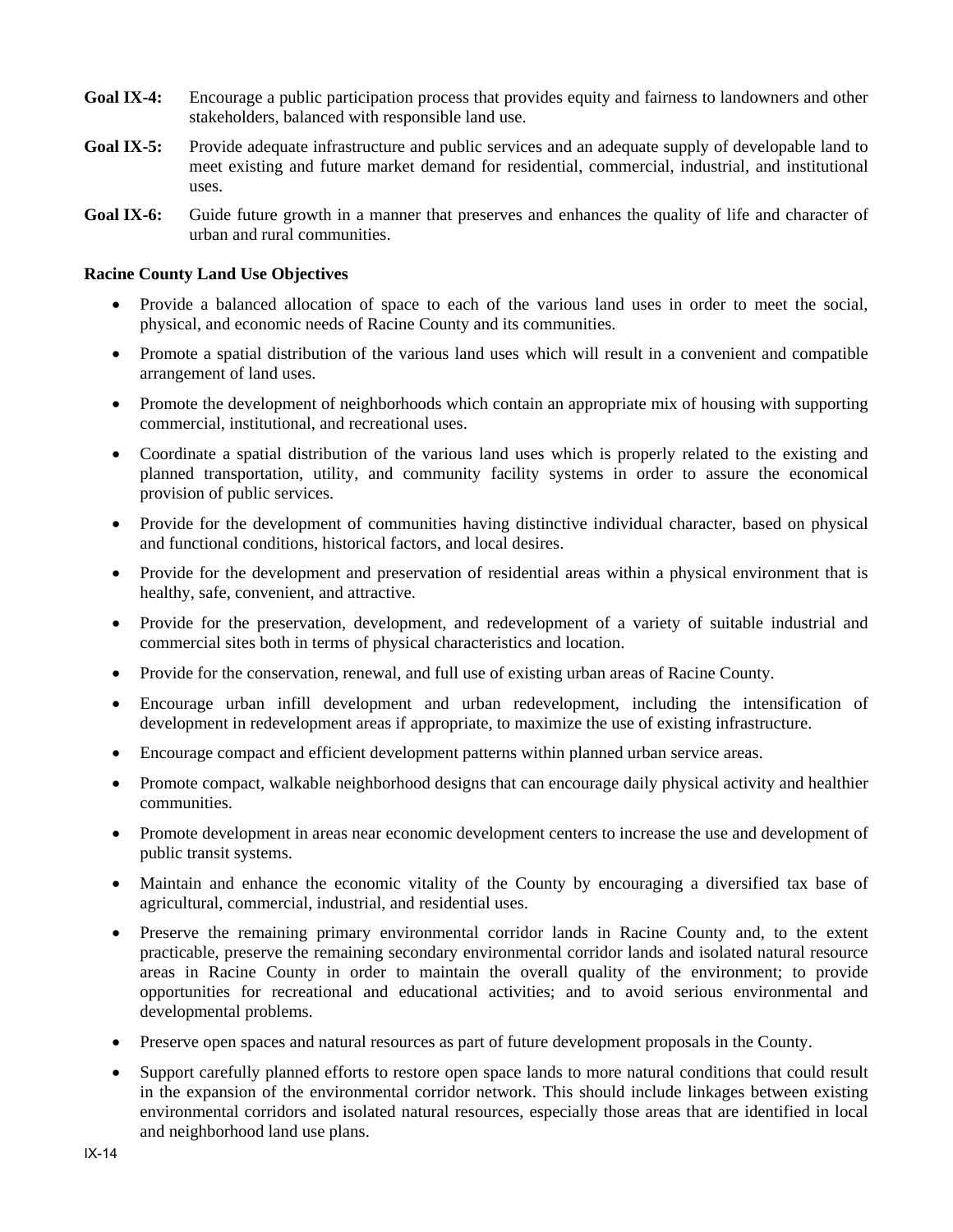- **Goal IX-4:** Encourage a public participation process that provides equity and fairness to landowners and other stakeholders, balanced with responsible land use.
- **Goal IX-5:** Provide adequate infrastructure and public services and an adequate supply of developable land to meet existing and future market demand for residential, commercial, industrial, and institutional uses.
- Goal IX-6: Guide future growth in a manner that preserves and enhances the quality of life and character of urban and rural communities.

### **Racine County Land Use Objectives**

- Provide a balanced allocation of space to each of the various land uses in order to meet the social, physical, and economic needs of Racine County and its communities.
- Promote a spatial distribution of the various land uses which will result in a convenient and compatible arrangement of land uses.
- Promote the development of neighborhoods which contain an appropriate mix of housing with supporting commercial, institutional, and recreational uses.
- Coordinate a spatial distribution of the various land uses which is properly related to the existing and planned transportation, utility, and community facility systems in order to assure the economical provision of public services.
- Provide for the development of communities having distinctive individual character, based on physical and functional conditions, historical factors, and local desires.
- Provide for the development and preservation of residential areas within a physical environment that is healthy, safe, convenient, and attractive.
- Provide for the preservation, development, and redevelopment of a variety of suitable industrial and commercial sites both in terms of physical characteristics and location.
- Provide for the conservation, renewal, and full use of existing urban areas of Racine County.
- Encourage urban infill development and urban redevelopment, including the intensification of development in redevelopment areas if appropriate, to maximize the use of existing infrastructure.
- Encourage compact and efficient development patterns within planned urban service areas.
- Promote compact, walkable neighborhood designs that can encourage daily physical activity and healthier communities.
- Promote development in areas near economic development centers to increase the use and development of public transit systems.
- Maintain and enhance the economic vitality of the County by encouraging a diversified tax base of agricultural, commercial, industrial, and residential uses.
- Preserve the remaining primary environmental corridor lands in Racine County and, to the extent practicable, preserve the remaining secondary environmental corridor lands and isolated natural resource areas in Racine County in order to maintain the overall quality of the environment; to provide opportunities for recreational and educational activities; and to avoid serious environmental and developmental problems.
- Preserve open spaces and natural resources as part of future development proposals in the County.
- Support carefully planned efforts to restore open space lands to more natural conditions that could result in the expansion of the environmental corridor network. This should include linkages between existing environmental corridors and isolated natural resources, especially those areas that are identified in local and neighborhood land use plans.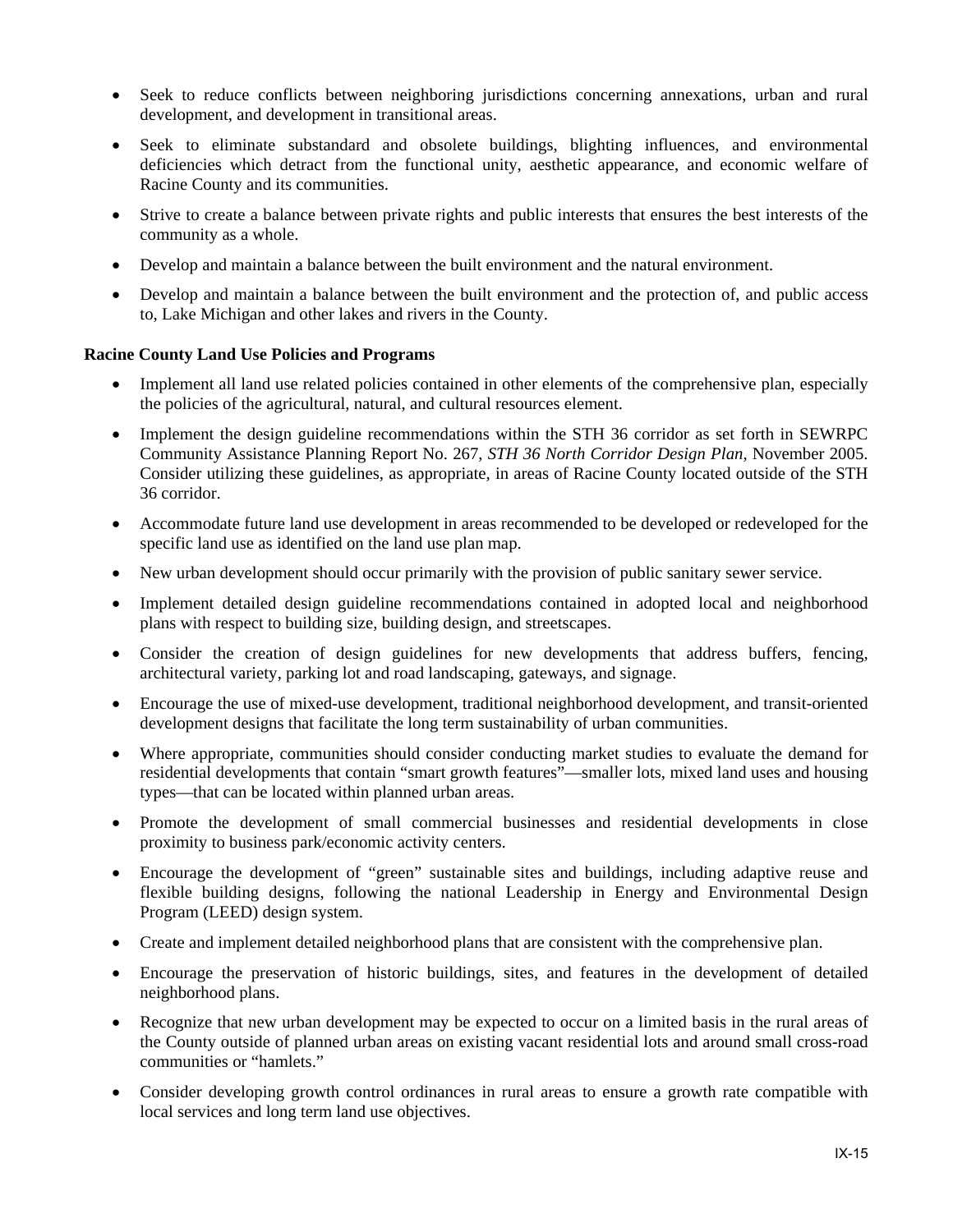- Seek to reduce conflicts between neighboring jurisdictions concerning annexations, urban and rural development, and development in transitional areas.
- Seek to eliminate substandard and obsolete buildings, blighting influences, and environmental deficiencies which detract from the functional unity, aesthetic appearance, and economic welfare of Racine County and its communities.
- Strive to create a balance between private rights and public interests that ensures the best interests of the community as a whole.
- Develop and maintain a balance between the built environment and the natural environment.
- Develop and maintain a balance between the built environment and the protection of, and public access to, Lake Michigan and other lakes and rivers in the County.

#### **Racine County Land Use Policies and Programs**

- Implement all land use related policies contained in other elements of the comprehensive plan, especially the policies of the agricultural, natural, and cultural resources element.
- Implement the design guideline recommendations within the STH 36 corridor as set forth in SEWRPC Community Assistance Planning Report No. 267, *STH 36 North Corridor Design Plan,* November 2005. Consider utilizing these guidelines, as appropriate, in areas of Racine County located outside of the STH 36 corridor.
- Accommodate future land use development in areas recommended to be developed or redeveloped for the specific land use as identified on the land use plan map.
- New urban development should occur primarily with the provision of public sanitary sewer service.
- Implement detailed design guideline recommendations contained in adopted local and neighborhood plans with respect to building size, building design, and streetscapes.
- Consider the creation of design guidelines for new developments that address buffers, fencing, architectural variety, parking lot and road landscaping, gateways, and signage.
- Encourage the use of mixed-use development, traditional neighborhood development, and transit-oriented development designs that facilitate the long term sustainability of urban communities.
- Where appropriate, communities should consider conducting market studies to evaluate the demand for residential developments that contain "smart growth features"—smaller lots, mixed land uses and housing types—that can be located within planned urban areas.
- Promote the development of small commercial businesses and residential developments in close proximity to business park/economic activity centers.
- Encourage the development of "green" sustainable sites and buildings, including adaptive reuse and flexible building designs, following the national Leadership in Energy and Environmental Design Program (LEED) design system.
- Create and implement detailed neighborhood plans that are consistent with the comprehensive plan.
- Encourage the preservation of historic buildings, sites, and features in the development of detailed neighborhood plans.
- Recognize that new urban development may be expected to occur on a limited basis in the rural areas of the County outside of planned urban areas on existing vacant residential lots and around small cross-road communities or "hamlets."
- Consider developing growth control ordinances in rural areas to ensure a growth rate compatible with local services and long term land use objectives.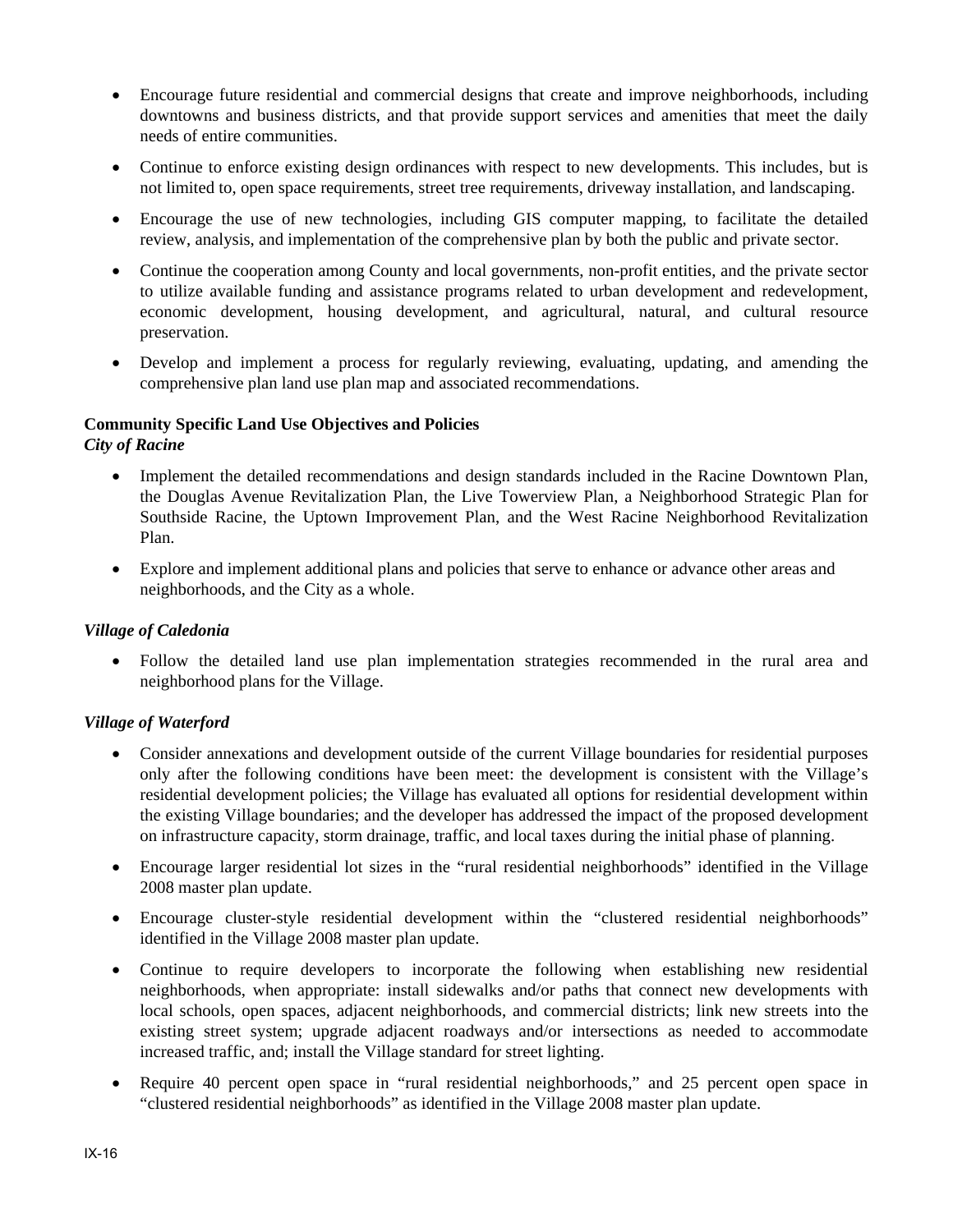- Encourage future residential and commercial designs that create and improve neighborhoods, including downtowns and business districts, and that provide support services and amenities that meet the daily needs of entire communities.
- Continue to enforce existing design ordinances with respect to new developments. This includes, but is not limited to, open space requirements, street tree requirements, driveway installation, and landscaping.
- Encourage the use of new technologies, including GIS computer mapping, to facilitate the detailed review, analysis, and implementation of the comprehensive plan by both the public and private sector.
- Continue the cooperation among County and local governments, non-profit entities, and the private sector to utilize available funding and assistance programs related to urban development and redevelopment, economic development, housing development, and agricultural, natural, and cultural resource preservation.
- Develop and implement a process for regularly reviewing, evaluating, updating, and amending the comprehensive plan land use plan map and associated recommendations.

### **Community Specific Land Use Objectives and Policies**

*City of Racine* 

- Implement the detailed recommendations and design standards included in the Racine Downtown Plan, the Douglas Avenue Revitalization Plan, the Live Towerview Plan, a Neighborhood Strategic Plan for Southside Racine, the Uptown Improvement Plan, and the West Racine Neighborhood Revitalization Plan.
- Explore and implement additional plans and policies that serve to enhance or advance other areas and neighborhoods, and the City as a whole.

### *Village of Caledonia*

 Follow the detailed land use plan implementation strategies recommended in the rural area and neighborhood plans for the Village.

### *Village of Waterford*

- Consider annexations and development outside of the current Village boundaries for residential purposes only after the following conditions have been meet: the development is consistent with the Village's residential development policies; the Village has evaluated all options for residential development within the existing Village boundaries; and the developer has addressed the impact of the proposed development on infrastructure capacity, storm drainage, traffic, and local taxes during the initial phase of planning.
- Encourage larger residential lot sizes in the "rural residential neighborhoods" identified in the Village 2008 master plan update.
- Encourage cluster-style residential development within the "clustered residential neighborhoods" identified in the Village 2008 master plan update.
- Continue to require developers to incorporate the following when establishing new residential neighborhoods, when appropriate: install sidewalks and/or paths that connect new developments with local schools, open spaces, adjacent neighborhoods, and commercial districts; link new streets into the existing street system; upgrade adjacent roadways and/or intersections as needed to accommodate increased traffic, and; install the Village standard for street lighting.
- Require 40 percent open space in "rural residential neighborhoods," and 25 percent open space in "clustered residential neighborhoods" as identified in the Village 2008 master plan update.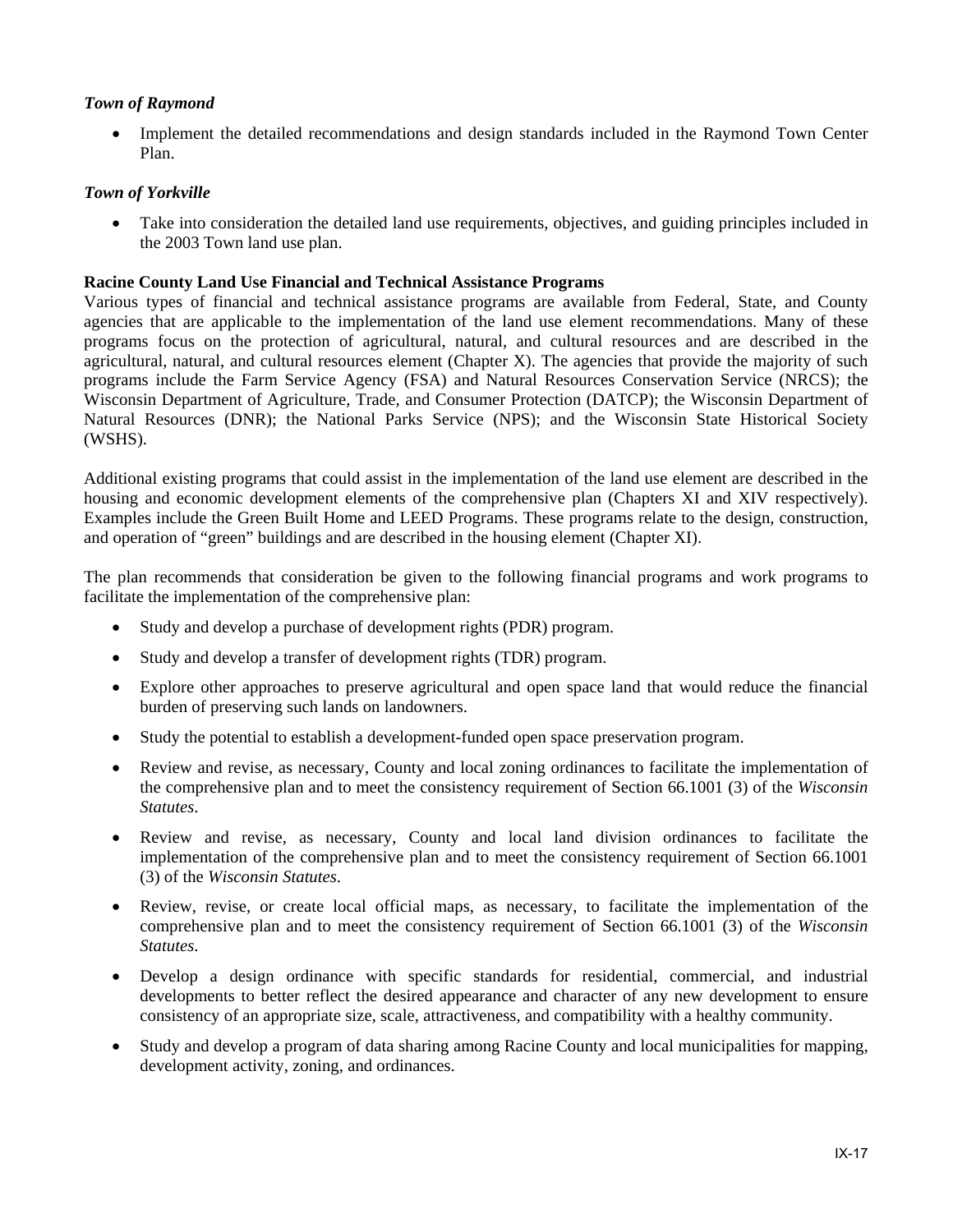### *Town of Raymond*

 Implement the detailed recommendations and design standards included in the Raymond Town Center Plan.

### *Town of Yorkville*

 Take into consideration the detailed land use requirements, objectives, and guiding principles included in the 2003 Town land use plan.

### **Racine County Land Use Financial and Technical Assistance Programs**

Various types of financial and technical assistance programs are available from Federal, State, and County agencies that are applicable to the implementation of the land use element recommendations. Many of these programs focus on the protection of agricultural, natural, and cultural resources and are described in the agricultural, natural, and cultural resources element (Chapter X). The agencies that provide the majority of such programs include the Farm Service Agency (FSA) and Natural Resources Conservation Service (NRCS); the Wisconsin Department of Agriculture, Trade, and Consumer Protection (DATCP); the Wisconsin Department of Natural Resources (DNR); the National Parks Service (NPS); and the Wisconsin State Historical Society (WSHS).

Additional existing programs that could assist in the implementation of the land use element are described in the housing and economic development elements of the comprehensive plan (Chapters XI and XIV respectively). Examples include the Green Built Home and LEED Programs. These programs relate to the design, construction, and operation of "green" buildings and are described in the housing element (Chapter XI).

The plan recommends that consideration be given to the following financial programs and work programs to facilitate the implementation of the comprehensive plan:

- Study and develop a purchase of development rights (PDR) program.
- Study and develop a transfer of development rights (TDR) program.
- Explore other approaches to preserve agricultural and open space land that would reduce the financial burden of preserving such lands on landowners.
- Study the potential to establish a development-funded open space preservation program.
- Review and revise, as necessary, County and local zoning ordinances to facilitate the implementation of the comprehensive plan and to meet the consistency requirement of Section 66.1001 (3) of the *Wisconsin Statutes*.
- Review and revise, as necessary, County and local land division ordinances to facilitate the implementation of the comprehensive plan and to meet the consistency requirement of Section 66.1001 (3) of the *Wisconsin Statutes*.
- Review, revise, or create local official maps, as necessary, to facilitate the implementation of the comprehensive plan and to meet the consistency requirement of Section 66.1001 (3) of the *Wisconsin Statutes*.
- Develop a design ordinance with specific standards for residential, commercial, and industrial developments to better reflect the desired appearance and character of any new development to ensure consistency of an appropriate size, scale, attractiveness, and compatibility with a healthy community.
- Study and develop a program of data sharing among Racine County and local municipalities for mapping, development activity, zoning, and ordinances.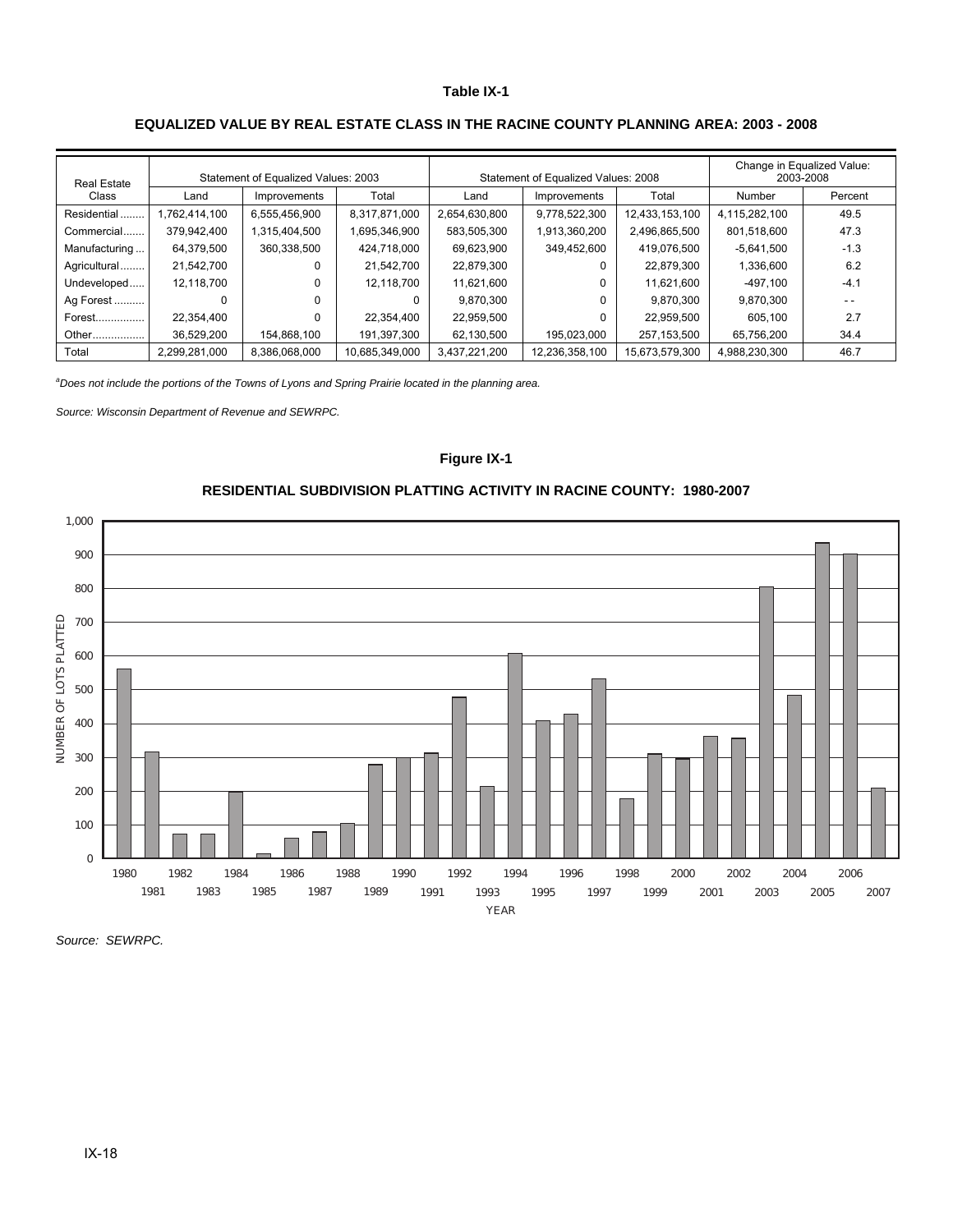#### **Table IX-1**

### **EQUALIZED VALUE BY REAL ESTATE CLASS IN THE RACINE COUNTY PLANNING AREA: 2003 - 2008**

| <b>Real Estate</b><br>Class | Statement of Equalized Values: 2003 |               |                |               | Statement of Equalized Values: 2008 | Change in Equalized Value:<br>2003-2008 |               |         |
|-----------------------------|-------------------------------------|---------------|----------------|---------------|-------------------------------------|-----------------------------------------|---------------|---------|
|                             | Land                                | Improvements  | Total          | Land          | Improvements                        | Total                                   | Number        | Percent |
| Residential                 | 1,762,414,100                       | 6,555,456,900 | 8,317,871,000  | 2,654,630,800 | 9,778,522,300                       | 12,433,153,100                          | 4,115,282,100 | 49.5    |
| Commercial                  | 379.942.400                         | 1,315,404,500 | 1,695,346,900  | 583,505,300   | 1,913,360,200                       | 2,496,865,500                           | 801,518,600   | 47.3    |
| Manufacturing               | 64,379,500                          | 360,338,500   | 424.718.000    | 69,623,900    | 349,452,600                         | 419.076.500                             | $-5,641,500$  | $-1.3$  |
| Agricultural                | 21.542.700                          | 0             | 21.542.700     | 22,879,300    |                                     | 22.879.300                              | 1,336,600     | 6.2     |
| Undeveloped                 | 12,118,700                          | 0             | 12,118,700     | 11,621,600    |                                     | 11.621.600                              | $-497.100$    | $-4.1$  |
| Ag Forest                   | 0                                   | 0             |                | 9.870.300     |                                     | 9.870.300                               | 9.870.300     | - -     |
| Forest                      | 22.354.400                          | 0             | 22,354,400     | 22,959,500    |                                     | 22.959.500                              | 605.100       | 2.7     |
| Other                       | 36.529.200                          | 154.868.100   | 191,397,300    | 62,130,500    | 195.023.000                         | 257.153.500                             | 65.756.200    | 34.4    |
| Total                       | 2.299.281.000                       | 8.386.068.000 | 10,685,349,000 | 3,437,221,200 | 12,236,358,100                      | 15,673,579,300                          | 4.988.230.300 | 46.7    |

*a Does not include the portions of the Towns of Lyons and Spring Prairie located in the planning area.* 

*Source: Wisconsin Department of Revenue and SEWRPC.* 

#### **Figure IX-1**



### **RESIDENTIAL SUBDIVISION PLATTING ACTIVITY IN RACINE COUNTY: 1980-2007**

*Source: SEWRPC.*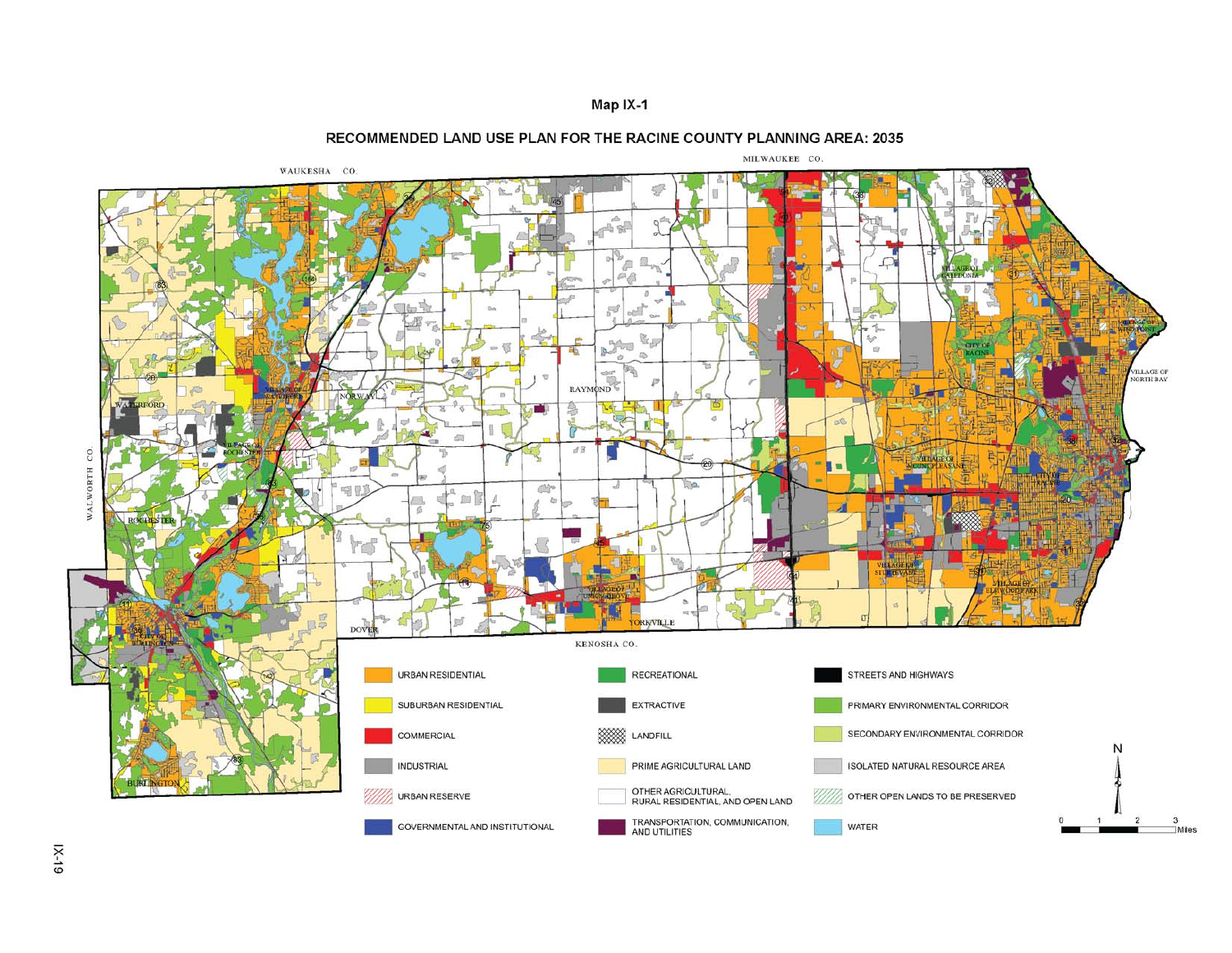



#### RECOMMENDED LAND USE PLAN FOR THE RACINE COUNTY PLANNING AREA: 2035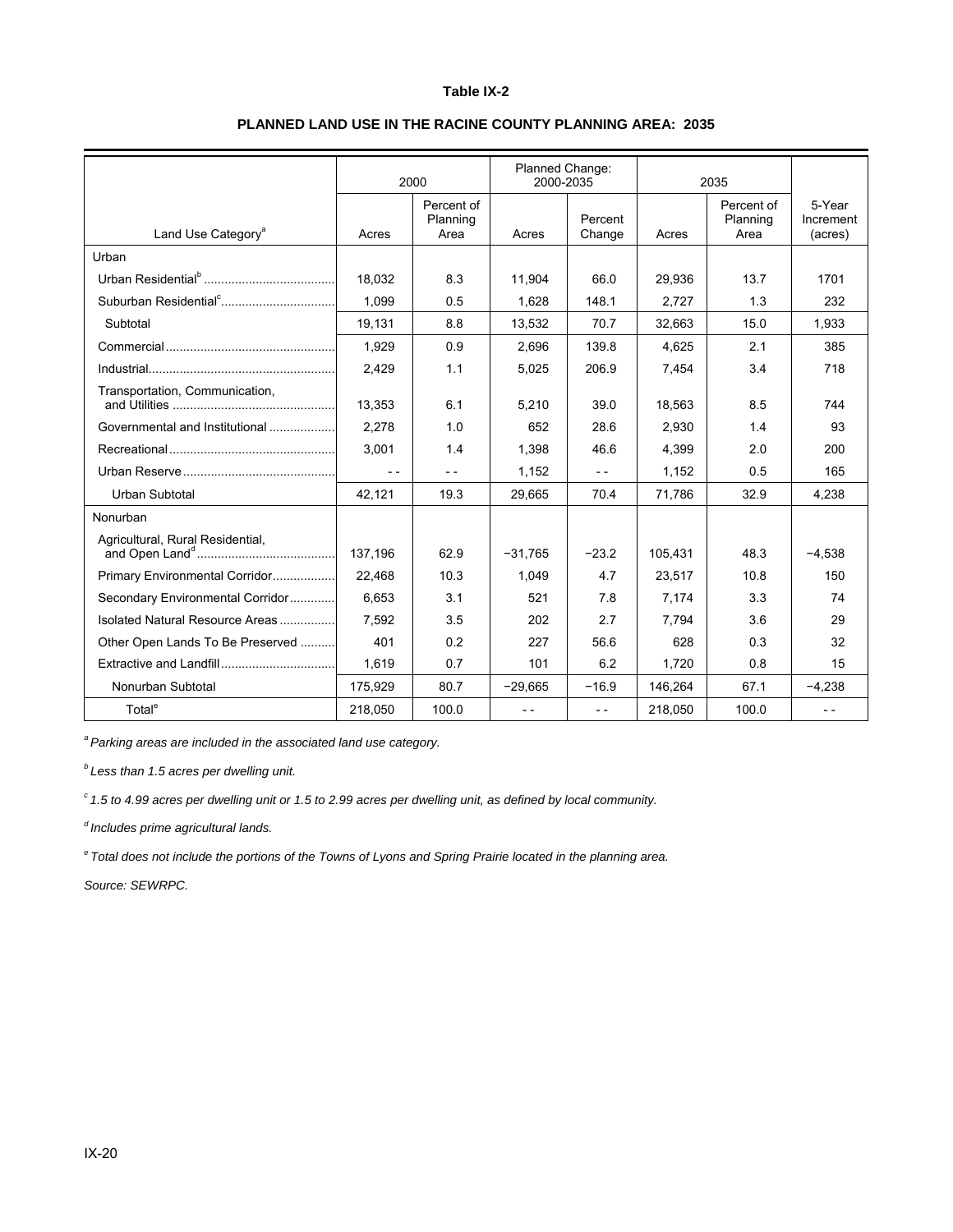#### **Table IX-2**

|                                   | 2000    |                                | Planned Change:<br>2000-2035 |                   | 2035    |                                |                                |
|-----------------------------------|---------|--------------------------------|------------------------------|-------------------|---------|--------------------------------|--------------------------------|
| Land Use Category <sup>a</sup>    | Acres   | Percent of<br>Planning<br>Area | Acres                        | Percent<br>Change | Acres   | Percent of<br>Planning<br>Area | 5-Year<br>Increment<br>(acres) |
| Urban                             |         |                                |                              |                   |         |                                |                                |
|                                   | 18.032  | 8.3                            | 11.904                       | 66.0              | 29,936  | 13.7                           | 1701                           |
| Suburban Residential <sup>c</sup> | 1.099   | 0.5                            | 1,628                        | 148.1             | 2,727   | 1.3                            | 232                            |
| Subtotal                          | 19,131  | 8.8                            | 13,532                       | 70.7              | 32,663  | 15.0                           | 1,933                          |
|                                   | 1,929   | 0.9                            | 2.696                        | 139.8             | 4.625   | 2.1                            | 385                            |
|                                   | 2,429   | 1.1                            | 5,025                        | 206.9             | 7,454   | 3.4                            | 718                            |
| Transportation, Communication,    | 13.353  | 6.1                            | 5,210                        | 39.0              | 18,563  | 8.5                            | 744                            |
| Governmental and Institutional    | 2.278   | 1.0                            | 652                          | 28.6              | 2.930   | 1.4                            | 93                             |
|                                   | 3.001   | 1.4                            | 1,398                        | 46.6              | 4,399   | 2.0                            | 200                            |
|                                   | $- -$   | $- -$                          | 1,152                        | $ -$              | 1,152   | 0.5                            | 165                            |
| Urban Subtotal                    | 42,121  | 19.3                           | 29,665                       | 70.4              | 71,786  | 32.9                           | 4,238                          |
| Nonurban                          |         |                                |                              |                   |         |                                |                                |
| Agricultural, Rural Residential,  | 137,196 | 62.9                           | $-31,765$                    | $-23.2$           | 105,431 | 48.3                           | $-4,538$                       |
| Primary Environmental Corridor    | 22,468  | 10.3                           | 1,049                        | 4.7               | 23,517  | 10.8                           | 150                            |
| Secondary Environmental Corridor  | 6.653   | 3.1                            | 521                          | 7.8               | 7.174   | 3.3                            | 74                             |
| Isolated Natural Resource Areas   | 7.592   | 3.5                            | 202                          | 2.7               | 7,794   | 3.6                            | 29                             |
| Other Open Lands To Be Preserved  | 401     | 0.2                            | 227                          | 56.6              | 628     | 0.3                            | 32                             |
|                                   | 1.619   | 0.7                            | 101                          | 6.2               | 1,720   | 0.8                            | 15                             |
| Nonurban Subtotal                 | 175.929 | 80.7                           | $-29.665$                    | $-16.9$           | 146,264 | 67.1                           | $-4.238$                       |
| Total <sup>e</sup>                | 218.050 | 100.0                          | $ -$                         | $ -$              | 218,050 | 100.0                          | $ -$                           |

### **PLANNED LAND USE IN THE RACINE COUNTY PLANNING AREA: 2035**

*a Parking areas are included in the associated land use category.* 

*b Less than 1.5 acres per dwelling unit.* 

*c 1.5 to 4.99 acres per dwelling unit or 1.5 to 2.99 acres per dwelling unit, as defined by local community.* 

*d Includes prime agricultural lands.* 

*e Total does not include the portions of the Towns of Lyons and Spring Prairie located in the planning area.* 

*Source: SEWRPC.*